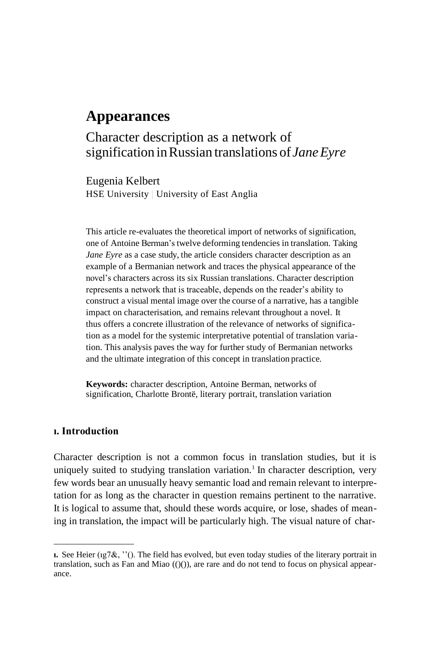# **Appearances**

# Character description as a network of signification inRussian translations of *JaneEyre*

Eugenia Kelbert HSE University | University of East Anglia

This article re-evaluates the theoretical import of networks of signification, one of Antoine Berman'stwelve deforming tendencies in translation. Taking *Jane Eyre* as a case study, the article considers character description as an example of a Bermanian network and traces the physical appearance of the novel's characters across its six Russian translations. Character description represents a network that is traceable, depends on the reader's ability to construct a visual mental image over the course of a narrative, has a tangible impact on characterisation, and remains relevant throughout a novel. It thus offers a concrete illustration of the relevance of networks of signification as a model for the systemic interpretative potential of translation variation. This analysis paves the way for further study of Bermanian networks and the ultimate integration of this concept in translation practice.

**Keywords:** character description, Antoine Berman, networks of signification, Charlotte Brontë, literary portrait, translation variation

## **ı. Introduction**

Character description is not a common focus in translation studies, but it is uniquely suited to studying translation variation.<sup>1</sup> In character description, very few words bear an unusually heavy semantic load and remain relevant to interpretation for as long as the character in question remains pertinent to the narrative. It is logical to assume that, should these words acquire, or lose, shades of meaning in translation, the impact will be particularly high. The visual nature of char-

**ı.** See Heier (ıg7&, ''(). The field has evolved, but even today studies of the literary portrait in translation, such as Fan and Miao  $(()())$ , are rare and do not tend to focus on physical appearance.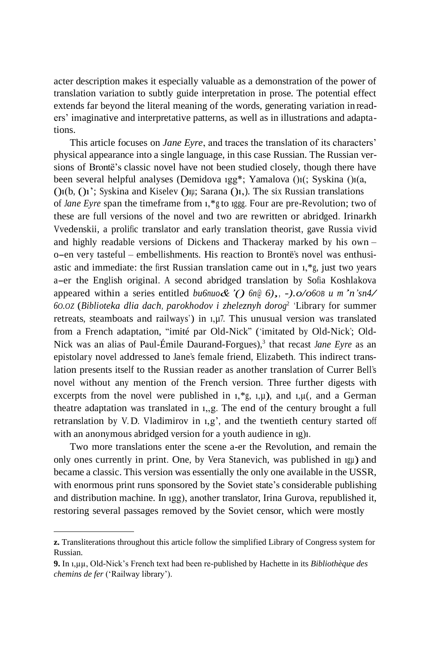acter description makes it especially valuable as a demonstration of the power of translation variation to subtly guide interpretation in prose. The potential effect extends far beyond the literal meaning of the words, generating variation in readers' imaginative and interpretative patterns, as well as in illustrations and adaptations.

This article focuses on *Jane Eyre*, and traces the translation of its characters' physical appearance into a single language, in this case Russian. The Russian versions of Brontë's classic novel have not been studied closely, though there have been several helpful analyses (Demidova ıgg\*; Yamalova ()ı(; Syskina ()ı(a, ()ı(b, ()ı'; Syskina and Kiselev ()ıµ; Sarana ()ı,). The six Russian translations of *Jane Eyre* span the timeframe from ı,\*g to ıggg. Four are pre-Revolution; two of these are full versions of the novel and two are rewritten or abridged. Irinarkh Vvedenskii, a prolific translator and early translation theorist, gave Russia vivid and highly readable versions of Dickens and Thackeray marked by his own – o-en very tasteful – embellishments. His reaction to Brontë's novel was enthusiastic and immediate: the first Russian translation came out in ı,\*g, just two years a-er the English original. <sup>A</sup> second abridged translation by Sofia Koshlakova appeared within <sup>a</sup> series entitled *bu6nuo&'() 6n@ 6),, -).o/o6OB <sup>u</sup> m'n'sn4/ 6O.OZ* (*Biblioteka dlia dach, parokhodov i zheleznyh dorog* 2 'Library for summer retreats, steamboats and railways') in ı,µ7. This unusual version was translated from a French adaptation, "imité par Old-Nick" ('imitated by Old-Nick'; Old-Nick was an alias of Paul-Émile Daurand-Forgues), 3 that recast *Jane Eyre* as an epistolary novel addressed to Jane's female friend, Elizabeth. This indirect translation presents itself to the Russian reader as another translation of Currer Bell's novel without any mention of the French version. Three further digests with excerpts from the novel were published in  $1, *g$ ,  $1, \mu$ ), and  $1, \mu$ (, and a German theatre adaptation was translated in ı,,g. The end of the century brought a full retranslation by V. D. Vladimirov in ı,g', and the twentieth century started off with an anonymous abridged version for a youth audience in ıg)ı.

Two more translations enter the scene a-er the Revolution, and remain the only ones currently in print. One, by Vera Stanevich, was published in ıgµ) and became a classic. This version was essentially the only one available in the USSR, with enormous print runs sponsored by the Soviet state's considerable publishing and distribution machine. In ıgg), another translator, Irina Gurova, republished it, restoring several passages removed by the Soviet censor, which were mostly

**z.** Transliterations throughout this article follow the simplified Library of Congress system for Russian.

**<sup>9.</sup>** In ı,µµ, Old-Nick's French text had been re-published by Hachette in its *Bibliothèque des chemins de fer* ('Railway library').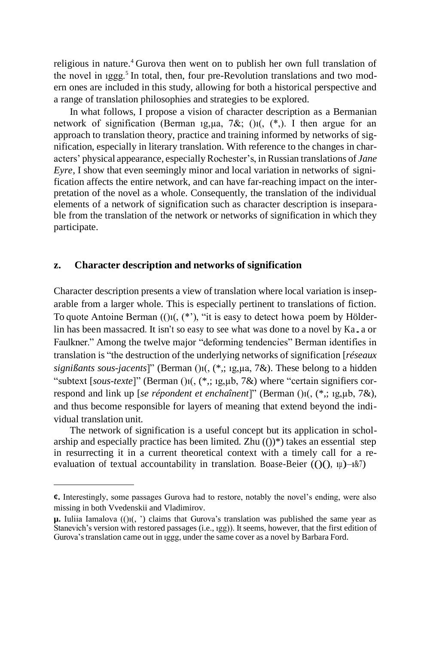religious in nature.<sup>4</sup> Gurova then went on to publish her own full translation of the novel in  $igge<sub>5</sub>$  In total, then, four pre-Revolution translations and two modern ones are included in this study, allowing for both a historical perspective and a range of translation philosophies and strategies to be explored.

In what follows, I propose a vision of character description as a Bermanian network of signification (Berman 1g,  $\mu$ a, 7&; ()<sub>1</sub>(, (\*,). I then argue for an approach to translation theory, practice and training informed by networks of signification, especially in literary translation. With reference to the changes in characters' physical appearance, especially Rochester's, inRussian translations of *Jane Eyre*, I show that even seemingly minor and local variation in networks of signification affects the entire network, and can have far-reaching impact on the interpretation of the novel as a whole. Consequently, the translation of the individual elements of a network of signification such as character description is inseparable from the translation of the network or networks of signification in which they participate.

#### **z. Character description and networks of signification**

Character description presents a view of translation where local variation is inseparable from a larger whole. This is especially pertinent to translations of fiction. To quote Antoine Berman  $(0)$ <sup> $($ </sup>,  $(*')$ , "it is easy to detect howa poem by Hölderlin has been massacred. It isn't so easy to see what was done to a novel by Ka. a or Faulkner." Among the twelve major "deforming tendencies" Berman identifies in translation is "the destruction of the underlying networks of signification [*réseaux signißants sous-jacents*]" (Berman ()ı(, (\*,; ıg,µa, 7&). These belong to a hidden "subtext [sous-texte]" (Berman ()1(, (\*,; 1g, µb, 7&) where "certain signifiers correspond and link up [*se répondent et enchaînent*]" (Berman ()ı(, (\*,; ıg,µb, 7&), and thus become responsible for layers of meaning that extend beyond the individual translation unit.

The network of signification is a useful concept but its application in scholarship and especially practice has been limited. Zhu  $(0)$ <sup>\*</sup>) takes an essential step in resurrecting it in a current theoretical context with a timely call for a reevaluation of textual accountability in translation. Boase-Beier  $((\)$  $($ ),  $\mu$  $)$  $-\alpha$  $\alpha$  $)$ 

**<sup>¢.</sup>** Interestingly, some passages Gurova had to restore, notably the novel's ending, were also missing in both Vvedenskii and Vladimirov.

 $\mu$ . Iuliia Iamalova  $(0)$ i $(, \cdot)$  claims that Gurova's translation was published the same year as Stanevich's version with restored passages (i.e., ıgg)). It seems, however, that the first edition of Gurova'stranslation came out in ıggg, under the same cover as a novel by Barbara Ford.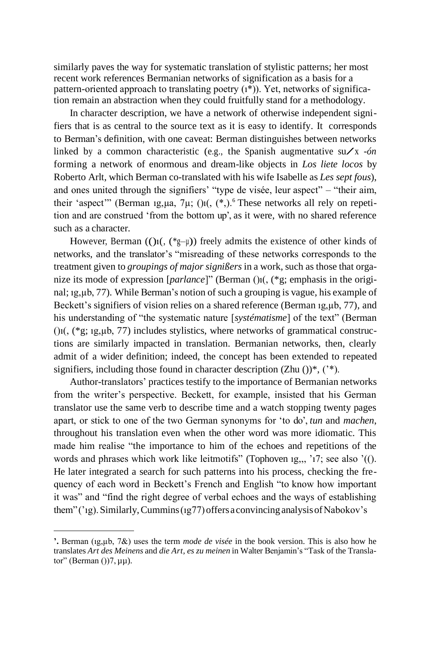similarly paves the way for systematic translation of stylistic patterns; her most recent work references Bermanian networks of signification as a basis for a pattern-oriented approach to translating poetry  $(i^*)$ ). Yet, networks of signification remain an abstraction when they could fruitfully stand for a methodology.

In character description, we have a network of otherwise independent signifiers that is as central to the source text as it is easy to identify. It corresponds to Berman's definition, with one caveat: Berman distinguishes between networks linked by a common characteristic (e.g., the Spanish augmentative su $\angle x$  -*ón* forming a network of enormous and dream-like objects in *Los liete locos* by Roberto Arlt, which Berman co-translated with his wife Isabelle as *Les sept fous*), and ones united through the signifiers' "type de visée, leur aspect" – "their aim, their 'aspect'" (Berman 1g,  $\mu$ a,  $7\mu$ ; ()<sub>1</sub>(, (\*,).<sup>6</sup> These networks all rely on repetition and are construed 'from the bottom up', as it were, with no shared reference such as a character.

However, Berman  $(()i(, (*g-\mu))$  freely admits the existence of other kinds of networks, and the translator's "misreading of these networks corresponds to the treatment given to *groupings of major signißers* in a work, such as those that organize its mode of expression [*parlance*]" (Berman ()ı(, (\*g; emphasis in the original; ıg,µb, 77). While Berman's notion of such a grouping is vague, his example of Beckett's signifiers of vision relies on a shared reference (Berman 1g,  $\mu$ b, 77), and his understanding of "the systematic nature [*systématisme*] of the text" (Berman  $(i)$ <sub>1</sub> $(i)$ <sup>\*</sup>g; 1g,  $\mu$ b, 77) includes stylistics, where networks of grammatical constructions are similarly impacted in translation. Bermanian networks, then, clearly admit of a wider definition; indeed, the concept has been extended to repeated signifiers, including those found in character description  $(Zhu)$ <sup>\*</sup>,  $($ <sup>\*\*</sup>).

Author-translators' practices testify to the importance of Bermanian networks from the writer's perspective. Beckett, for example, insisted that his German translator use the same verb to describe time and a watch stopping twenty pages apart, or stick to one of the two German synonyms for 'to do', *tun* and *machen*, throughout his translation even when the other word was more idiomatic. This made him realise "the importance to him of the echoes and repetitions of the words and phrases which work like leitmotifs" (Tophoven 1g,,, '17; see also '((). He later integrated a search for such patterns into his process, checking the frequency of each word in Beckett's French and English "to know how important it was" and "find the right degree of verbal echoes and the ways of establishing them"('ıg).Similarly,Cummins(ıg77)offers aconvincing analysisofNabokov's

**<sup>&#</sup>x27;.** Berman (ıg,µb, 7&) uses the term *mode de visée* in the book version. This is also how he translates *Art des Meinens* and *die Art, es zu meinen* in Walter Benjamin's "Task of the Translator" (Berman  $()$ )7,  $\mu\mu$ ).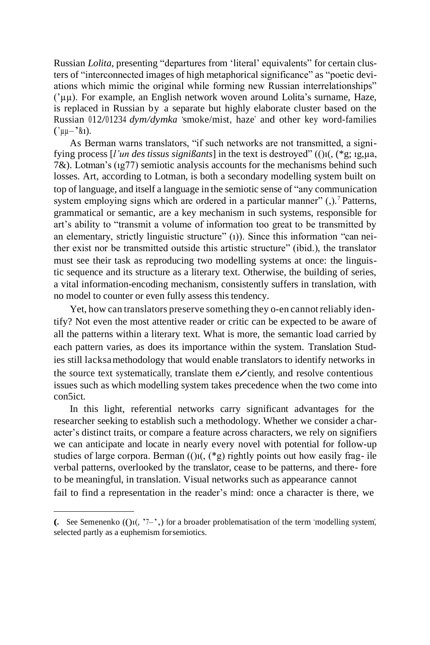Russian *Lolita*, presenting "departures from 'literal' equivalents" for certain clusters of "interconnected images of high metaphorical significance" as "poetic deviations which mimic the original while forming new Russian interrelationships" ('µµ). For example, an English network woven around Lolita's surname, Haze, is replaced in Russian by a separate but highly elaborate cluster based on the Russian 012/01234 *dym/dymka* 'smoke/mist, haze' and other key word-families  $('uu-<sup>3</sup>$  &1).

As Berman warns translators, "if such networks are not transmitted, a signifying process [*l'un des tissus signißants*] in the text is destroyed" (()ı(, (\*g; ıg,µa, 7&). Lotman's (ıg77) semiotic analysis accounts for the mechanisms behind such losses. Art, according to Lotman, is both a secondary modelling system built on top of language, and itself a language in the semiotic sense of "any communication system employing signs which are ordered in a particular manner"  $($ , $)$ .<sup>7</sup> Patterns, grammatical or semantic, are a key mechanism in such systems, responsible for art's ability to "transmit a volume of information too great to be transmitted by an elementary, strictly linguistic structure" (1)). Since this information "can neither exist nor be transmitted outside this artistic structure" (ibid.), the translator must see their task as reproducing two modelling systems at once: the linguistic sequence and its structure as a literary text. Otherwise, the building of series, a vital information-encoding mechanism, consistently suffers in translation, with no model to counter or even fully assess this tendency.

Yet, how can translators preserve something they o-en cannot reliably identify? Not even the most attentive reader or critic can be expected to be aware of all the patterns within a literary text. What is more, the semantic load carried by each pattern varies, as does its importance within the system. Translation Studies still lacksamethodology that would enable translators to identify networks in<br>the source text systematically, translate them e/ciently, and resolve contentious issues such as which modelling system takes precedence when the two come into con5ict.

In this light, referential networks carry significant advantages for the researcher seeking to establish such a methodology. Whether we consider a character's distinct traits, or compare a feature across characters, we rely on signifiers we can anticipate and locate in nearly every novel with potential for follow-up studies of large corpora. Berman  $(()$ 1 $($ ,  $(*g)$  rightly points out how easily frag- ile verbal patterns, overlooked by the translator, cease to be patterns, and there- fore to be meaningful, in translation. Visual networks such as appearance cannot fail to find a representation in the reader's mind: once a character is there, we

**<sup>(.</sup>** See Semenenko  $(0)$ **i** $(0, 7)$ <sup> $-2$ </sup>,  $)$  for a broader problematisation of the term 'modelling system', selected partly as a euphemism forsemiotics.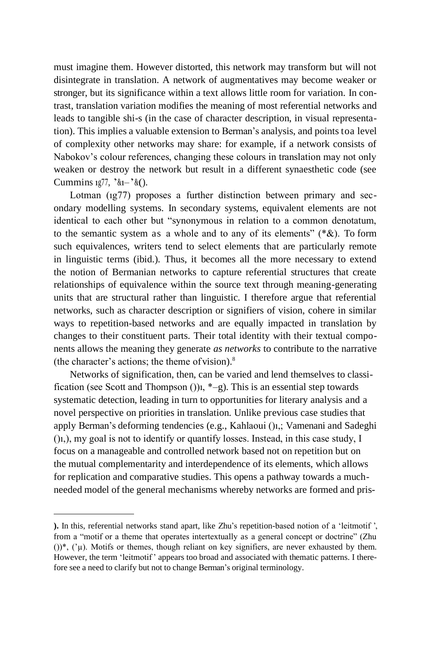must imagine them. However distorted, this network may transform but will not disintegrate in translation. A network of augmentatives may become weaker or stronger, but its significance within a text allows little room for variation. In contrast, translation variation modifies the meaning of most referential networks and leads to tangible shi-s (in the case of character description, in visual representation). This implies a valuable extension to Berman's analysis, and points toa level of complexity other networks may share: for example, if a network consists of Nabokov's colour references, changing these colours in translation may not only weaken or destroy the network but result in a different synaesthetic code (see Cummins  $1g77$ ,  $\alpha_1 - \alpha_2$ .

Lotman (1g77) proposes a further distinction between primary and secondary modelling systems. In secondary systems, equivalent elements are not identical to each other but "synonymous in relation to a common denotatum, to the semantic system as a whole and to any of its elements" (\*&). To form such equivalences, writers tend to select elements that are particularly remote in linguistic terms (ibid.). Thus, it becomes all the more necessary to extend the notion of Bermanian networks to capture referential structures that create relationships of equivalence within the source text through meaning-generating units that are structural rather than linguistic. I therefore argue that referential networks, such as character description or signifiers of vision, cohere in similar ways to repetition-based networks and are equally impacted in translation by changes to their constituent parts. Their total identity with their textual components allows the meaning they generate *as networks* to contribute to the narrative (the character's actions; the theme of vision). $8$ 

Networks of signification, then, can be varied and lend themselves to classification (see Scott and Thompson ()) $i, *$ –g). This is an essential step towards systematic detection, leading in turn to opportunities for literary analysis and a novel perspective on priorities in translation. Unlike previous case studies that apply Berman's deforming tendencies (e.g., Kahlaoui ()ı,; Vamenani and Sadeghi ()ı,), my goal is not to identify or quantify losses. Instead, in this case study, I focus on a manageable and controlled network based not on repetition but on the mutual complementarity and interdependence of its elements, which allows for replication and comparative studies. This opens a pathway towards a muchneeded model of the general mechanisms whereby networks are formed and pris-

**<sup>).</sup>** In this, referential networks stand apart, like Zhu's repetition-based notion of a 'leitmotif ', from a "motif or a theme that operates intertextually as a general concept or doctrine" (Zhu ())\*, ('µ). Motifs or themes, though reliant on key signifiers, are never exhausted by them. However, the term 'leitmotif' appears too broad and associated with thematic patterns. I therefore see a need to clarify but not to change Berman's original terminology.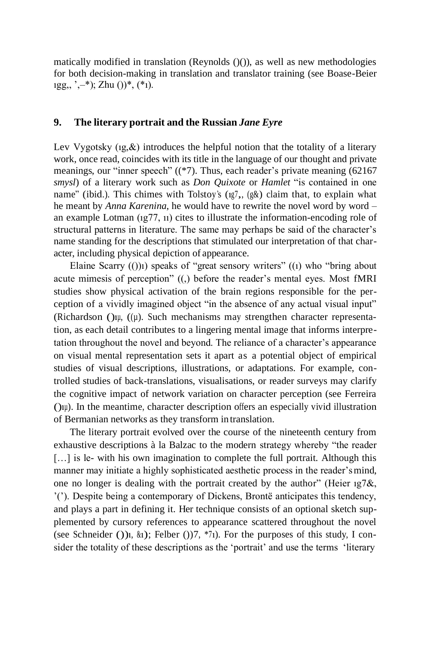matically modified in translation (Reynolds ()()), as well as new methodologies for both decision-making in translation and translator training (see Boase-Beier  $1gg, ',-*)$ ; Zhu ())\*, (\*1).

#### **9. The literary portrait and the Russian** *Jane Eyre*

Lev Vygotsky  $(i, \&)$  introduces the helpful notion that the totality of a literary work, once read, coincides with its title in the language of our thought and private meanings, our "inner speech" ((\*7). Thus, each reader's private meaning (62167 *smysl*) of a literary work such as *Don Quixote* or *Hamlet* "is contained in one name" (ibid.). This chimes with Tolstoy's ( $1g$ ,  $(g\&)$ ) claim that, to explain what he meant by *Anna Karenina*, he would have to rewrite the novel word by word – an example Lotman (ıg77, ıı) cites to illustrate the information-encoding role of structural patterns in literature. The same may perhaps be said of the character's name standing for the descriptions that stimulated our interpretation of that character, including physical depiction of appearance.

Elaine Scarry (())ı) speaks of "great sensory writers" ((ı) who "bring about acute mimesis of perception" ((,) before the reader's mental eyes. Most fMRI studies show physical activation of the brain regions responsible for the perception of a vividly imagined object "in the absence of any actual visual input" (Richardson () $\mu$ , ( $(\mu)$ . Such mechanisms may strengthen character representation, as each detail contributes to a lingering mental image that informs interpretation throughout the novel and beyond. The reliance of a character's appearance on visual mental representation sets it apart as a potential object of empirical studies of visual descriptions, illustrations, or adaptations. For example, controlled studies of back-translations, visualisations, or reader surveys may clarify the cognitive impact of network variation on character perception (see Ferreira ()ıµ). In the meantime, character description offers an especially vivid illustration of Bermanian networks as they transform intranslation.

The literary portrait evolved over the course of the nineteenth century from exhaustive descriptions à la Balzac to the modern strategy whereby "the reader [...] is le- with his own imagination to complete the full portrait. Although this manner may initiate a highly sophisticated aesthetic process in the reader'smind, one no longer is dealing with the portrait created by the author" (Heier ıg7&, '('). Despite being a contemporary of Dickens, Brontë anticipates this tendency, and plays a part in defining it. Her technique consists of an optional sketch supplemented by cursory references to appearance scattered throughout the novel (see Schneider ())<sub>1</sub>,  $\&$ <sub>1</sub>); Felber ())<sup>7</sup>,  $*\gamma$ <sub>1</sub>). For the purposes of this study, I consider the totality of these descriptions as the 'portrait' and use the terms 'literary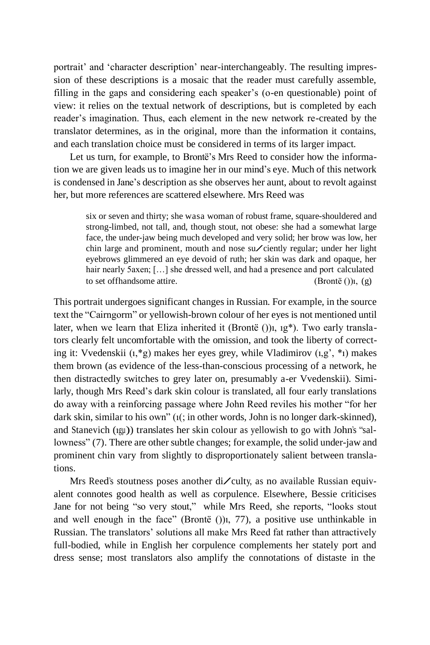portrait' and 'character description' near-interchangeably. The resulting impression of these descriptions is a mosaic that the reader must carefully assemble, filling in the gaps and considering each speaker's (o-en questionable) point of view: it relies on the textual network of descriptions, but is completed by each reader's imagination. Thus, each element in the new network re-created by the translator determines, as in the original, more than the information it contains, and each translation choice must be considered in terms of its larger impact.

Let us turn, for example, to Brontë's Mrs Reed to consider how the information we are given leads us to imagine her in our mind's eye. Much of this network is condensed in Jane's description as she observes her aunt, about to revolt against her, but more references are scattered elsewhere. Mrs Reed was

six or seven and thirty; she wasa woman of robust frame, square-shouldered and strong-limbed, not tall, and, though stout, not obese: she had a somewhat large face, the under-jaw being much developed and very solid; her brow was low, her chin large and prominent, mouth and nose su/ciently regular; under her light eyebrows glimmered an eye devoid of ruth; her skin was dark and opaque, her hair nearly 5axen; [...] she dressed well, and had a presence and port calculated to set of fhandsome attire. (Brontë  $()$ ),  $(g)$ 

This portrait undergoes significant changes in Russian. For example, in the source text the "Cairngorm" or yellowish-brown colour of her eyes is not mentioned until later, when we learn that Eliza inherited it (Brontë ())<sub>1</sub>, 1g<sup>\*</sup>). Two early translators clearly felt uncomfortable with the omission, and took the liberty of correcting it: Vvedenskii (ı,\*g) makes her eyes grey, while Vladimirov (ı,g', \*ı) makes them brown (as evidence of the less-than-conscious processing of a network, he then distractedly switches to grey later on, presumably a-er Vvedenskii). Similarly, though Mrs Reed's dark skin colour is translated, all four early translations do away with a reinforcing passage where John Reed reviles his mother "for her dark skin, similar to his own" (ı(; in other words, John is no longer dark-skinned), and Stanevich (ıgµ)) translates her skin colour as yellowish to go with John's "sallowness" (7). There are other subtle changes; for example, the solid under-jaw and prominent chin vary from slightly to disproportionately salient between translations.

Mrs Reed's stoutness poses another di/culty, as no available Russian equivalent connotes good health as well as corpulence. Elsewhere, Bessie criticises Jane for not being "so very stout," while Mrs Reed, she reports, "looks stout and well enough in the face" (Brontë ())ı, 77), a positive use unthinkable in Russian. The translators' solutions all make Mrs Reed fat rather than attractively full-bodied, while in English her corpulence complements her stately port and dress sense; most translators also amplify the connotations of distaste in the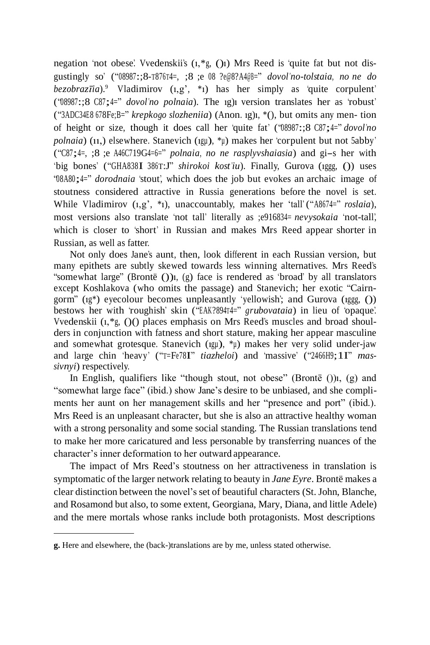negation 'not obese'. Vvedenskii's (ı,\*g, ()ı) Mrs Reed is 'quite fat but not disgustingly so' ("08987:;8-T876T4=, ;8 ;e <sup>08</sup> ?e@8?A4@B=" *dovol'no-tolstaia, no ne do*  $bezobraz\bar{u}a$ <sup>9</sup>. Vladimirov  $(i, g', *_1)$  has her simply as 'quite corpulent' ("08987:;8 C87;4=" *dovol'no polnaia*). The ıg)ı version translates her as 'robust' ("3ADC34E8 678Fe;B=" *krepkogo slozheniia*) (Anon. ıg)ı, \*(), but omits any men- tion of height or size, though it does call her 'quite fat' ("08987:;8 C87;4=" *dovol'no polnaia*) (ıı,) elsewhere. Stanevich (ıgµ), \*µ) makes her 'corpulent but not 5abby' ("C87;4=, ;8 ;e A46C719G4=6=" *polnaia, no ne rasplyvshaiasia*) and gi-s her with 'big bones' ("GHA838I <sup>386</sup>T:J" *shirokoi kost'iu*). Finally, Gurova (ıggg, ()) uses "08A80;4=" *dorodnaia* 'stout', which does the job but evokes an archaic image of stoutness considered attractive in Russia generations before the novel is set. While Vladimirov  $(i, g', *i)$ , unaccountably, makes her 'tall' ("A8674=" *roslaia*), most versions also translate 'not tall' literally as ;e916834= *nevysokaia* 'not-tall', which is closer to 'short' in Russian and makes Mrs Reed appear shorter in Russian, as well as fatter.

Not only does Jane's aunt, then, look different in each Russian version, but many epithets are subtly skewed towards less winning alternatives. Mrs Reed's "somewhat large" (Brontë ())ı, (g) face is rendered as 'broad' by all translators except Koshlakova (who omits the passage) and Stanevich; her exotic "Cairngorm" (ıg\*) eyecolour becomes unpleasantly 'yellowish'; and Gurova (ıggg, ()) bestows her with 'roughish' skin ("EAK?894T4=" *grubovataia*) in lieu of 'opaque'. Vvedenskii (ı,\*g, ()() places emphasis on Mrs Reed's muscles and broad shoulders in conjunction with fatness and short stature, making her appear masculine and somewhat grotesque. Stanevich (ıgµ), \*µ) makes her very solid under-jaw and large chin 'heavy' ("T=Fe78I" *tiazheloi*) and 'massive' ("2466H9;1I" *massivnyi*) respectively.

In English, qualifiers like "though stout, not obese" (Brontë  $()$ ), (g) and "somewhat large face" (ibid.) show Jane's desire to be unbiased, and she compliments her aunt on her management skills and her "presence and port" (ibid.). Mrs Reed is an unpleasant character, but she is also an attractive healthy woman with a strong personality and some social standing. The Russian translations tend to make her more caricatured and less personable by transferring nuances of the character's inner deformation to her outward appearance.

The impact of Mrs Reed's stoutness on her attractiveness in translation is symptomatic of the larger network relating to beauty in *Jane Eyre*. Brontë makes a clear distinction between the novel's set of beautiful characters (St. John, Blanche, and Rosamond but also, to some extent, Georgiana, Mary, Diana, and little Adele) and the mere mortals whose ranks include both protagonists. Most descriptions

**g.** Here and elsewhere, the (back-)translations are by me, unless stated otherwise.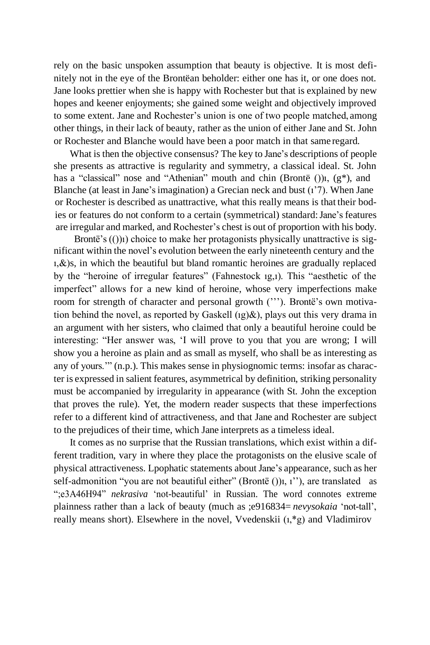rely on the basic unspoken assumption that beauty is objective. It is most definitely not in the eye of the Brontëan beholder: either one has it, or one does not. Jane looks prettier when she is happy with Rochester but that is explained by new hopes and keener enjoyments; she gained some weight and objectively improved to some extent. Jane and Rochester's union is one of two people matched, among other things, in their lack of beauty, rather as the union of either Jane and St. John or Rochester and Blanche would have been a poor match in that same regard.

What is then the objective consensus? The key to Jane's descriptions of people she presents as attractive is regularity and symmetry, a classical ideal. St. John has a "classical" nose and "Athenian" mouth and chin (Brontë ()), (g<sup>\*</sup>), and Blanche (at least in Jane's imagination) a Grecian neck and bust (1'7). When Jane or Rochester is described as unattractive, what this really means is that their bodies or features do not conform to a certain (symmetrical) standard:Jane's features are irregular and marked, and Rochester's chest is out of proportion with his body.

Brontë's  $(1)$ <sub>1</sub>) choice to make her protagonists physically unattractive is significant within the novel's evolution between the early nineteenth century and the ı,&)s, in which the beautiful but bland romantic heroines are gradually replaced by the "heroine of irregular features" (Fahnestock ıg,ı). This "aesthetic of the imperfect" allows for a new kind of heroine, whose very imperfections make room for strength of character and personal growth ("'). Brontë's own motivation behind the novel, as reported by Gaskell  $(1g)\&$ ), plays out this very drama in an argument with her sisters, who claimed that only a beautiful heroine could be interesting: "Her answer was, 'I will prove to you that you are wrong; I will show you a heroine as plain and as small as myself, who shall be as interesting as any of yours.'" (n.p.). This makes sense in physiognomic terms: insofar as character is expressed in salient features, asymmetrical by definition, striking personality must be accompanied by irregularity in appearance (with St. John the exception that proves the rule). Yet, the modern reader suspects that these imperfections refer to a different kind of attractiveness, and that Jane and Rochester are subject to the prejudices of their time, which Jane interprets as a timeless ideal.

It comes as no surprise that the Russian translations, which exist within a different tradition, vary in where they place the protagonists on the elusive scale of physical attractiveness. Lpophatic statements about Jane's appearance, such as her self-admonition "you are not beautiful either" (Brontë ())<sub>1</sub>, 1"), are translated as ";e3A46H94" *nekrasiva* 'not-beautiful' in Russian. The word connotes extreme plainness rather than a lack of beauty (much as ;e916834= *nevysokaia* 'not-tall', really means short). Elsewhere in the novel, Vvedenskii (ı,\*g) and Vladimirov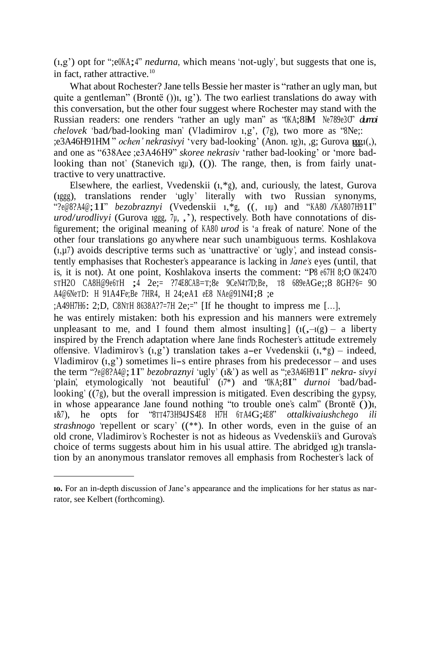(ı,g') opt for ";e0KA;4" *nedurna*, which means 'not-ugly', but suggests that one is, in fact, rather attractive.<sup>10</sup>

What about Rochester? Jane tells Bessie her master is "rather an ugly man, but quite a gentleman" (Brontë ()) $\iota$ ,  $\iota$ g'). The two earliest translations do away with this conversation, but the other four suggest where Rochester may stand with the Russian readers: one renders "rather an ugly man" as "0KA;8HM Ne789e3O" *durnoi chelovek* 'bad/bad-looking man' (Vladimirov ı,g', (7g), two more as "8Ne;: ;e3A46H91HM " *ochen' nekrasivyi* 'very bad-looking' (Anon. ıg)ı, ,g; Gurova ıggg, ı(,), and one as "638Aee ;e3A46H9" *skoree nekrasiv* 'rather bad-looking' or 'more badlooking than not' (Stanevich 1gu), (()). The range, then, is from fairly unattractive to very unattractive.

Elsewhere, the earliest, Vvedenskii (ı,\*g), and, curiously, the latest, Gurova (ıggg), translations render 'ugly' literally with two Russian synonyms, "?e@8?A4@;1I" *bezobraznyi* (Vvedenskii 1,\*g, ((, 11µ) and "KA80 /KA807H91I" *urod*/*urodlivyi* (Gurova ıggg, 7µ, ,'), respectively. Both have connotations of disfigurement; the original meaning of KA80 *urod* is 'a freak of nature'. None of the other four translations go anywhere near such unambiguous terms. Koshlakova  $(1, u7)$  avoids descriptive terms such as 'unattractive' or 'ugly', and instead consistently emphasises that Rochester's appearance is lacking in *Jane's* eyes (until, that is, it is not). At one point, Koshlakova inserts the comment: "P8 e67H 8;O 0K247O STH2O CA8H@9e6T<sup>H</sup> ;4 2e;= ?74E8CAB=T;8e 9CeN4T7D;Be, <sup>T</sup><sup>8</sup> 689eAGe;;8 8GH?6= 9O A4@6NeTD: <sup>H</sup> 91A4Fe;Be 7HR4, <sup>H</sup> 24;eA1 eE8 NAe@91N4I;8 ;e

 $;A49H7H6: 2;D, CNTH 8638A?7=7H 2e:=''$  [If he thought to impress me [...],

he was entirely mistaken: both his expression and his manners were extremely unpleasant to me, and I found them almost insulting]  $(i, -i(g) - a$  liberty inspired by the French adaptation where Jane finds Rochester's attitude extremely offensive. Vladimirov's  $(i, g')$  translation takes a-er Vvedenskii  $(i, *g)$  – indeed, Vladimirov  $(i, g')$  sometimes li-s entire phrases from his predecessor – and uses the term "?e@8?A4@;1I" *bezobraznyi* 'ugly' (ı&') as well as ";e3A46H91I" *nekra- sivyi* 'plain', etymologically 'not beautiful' (ı7\*) and "0KA;8I" *durnoi* 'bad/badlooking' ((7g), but the overall impression is mitigated. Even describing the gypsy, in whose appearance Jane found nothing "to trouble one's calm" (Brontë ())i, ı&7), he opts for "8TT473H94JS4E8 H7H <sup>6</sup>TA4G;4E8" *ottalkivaiushchego ili strashnogo* 'repellent or scary' ((\*\*). In other words, even in the guise of an old crone, Vladimirov's Rochester is not as hideous as Vvedenskii's and Gurova's choice of terms suggests about him in his usual attire. The abridged ıg)ı translation by an anonymous translator removes all emphasis from Rochester's lack of

**ıo.** For an in-depth discussion of Jane's appearance and the implications for her status as narrator, see Kelbert (forthcoming).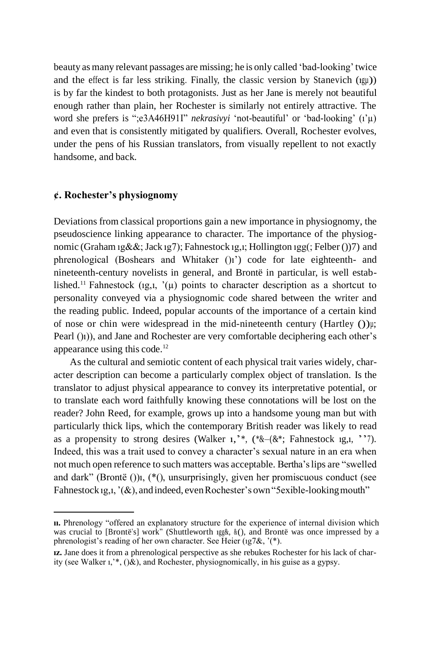beauty as many relevant passages are missing; he is only called 'bad-looking'twice and the effect is far less striking. Finally, the classic version by Stanevich (ıgµ)) is by far the kindest to both protagonists. Just as her Jane is merely not beautiful enough rather than plain, her Rochester is similarly not entirely attractive. The word she prefers is ";e3A46H91I" *nekrasivyi* 'not-beautiful' or 'bad-looking' (ı'µ) and even that is consistently mitigated by qualifiers. Overall, Rochester evolves, under the pens of his Russian translators, from visually repellent to not exactly handsome, and back.

#### **¢. Rochester's physiognomy**

Deviations from classical proportions gain a new importance in physiognomy, the pseudoscience linking appearance to character. The importance of the physiognomic (Graham ıg&&; Jack ıg7); Fahnestock ıg,ı; Hollington ıgg(; Felber ())7) and phrenological (Boshears and Whitaker ()ı') code for late eighteenth- and nineteenth-century novelists in general, and Brontë in particular, is well established.<sup>11</sup> Fahnestock (1g,1,  $'(u)$  points to character description as a shortcut to personality conveyed via a physiognomic code shared between the writer and the reading public. Indeed, popular accounts of the importance of a certain kind of nose or chin were widespread in the mid-nineteenth century (Hartley  $()$ ) $\mu$ ; Pearl (i)), and Jane and Rochester are very comfortable deciphering each other's appearance using this code.<sup>12</sup>

As the cultural and semiotic content of each physical trait varies widely, character description can become a particularly complex object of translation. Is the translator to adjust physical appearance to convey its interpretative potential, or to translate each word faithfully knowing these connotations will be lost on the reader? John Reed, for example, grows up into a handsome young man but with particularly thick lips, which the contemporary British reader was likely to read as a propensity to strong desires (Walker  $_1$ ,  $*$ ,  $(*\&-(\&*)$ ; Fahnestock 1g,1,  $*$ ). Indeed, this was a trait used to convey a character's sexual nature in an era when not much open reference to such matters was acceptable. Bertha'slips are "swelled and dark" (Brontë ())ı, (\*(), unsurprisingly, given her promiscuous conduct (see Fahnestock 1g,1, '(&), and indeed, even Rochester's own "5 exible-looking mouth"

**ıı.** Phrenology "offered an explanatory structure for the experience of internal division which was crucial to [Brontë's] work" (Shuttleworth ıgg&, &(), and Brontë was once impressed by a phrenologist's reading of her own character. See Heier (ıg7&, '(\*).

**ız.** Jane does it from a phrenological perspective as she rebukes Rochester for his lack of charity (see Walker  $\mu$ ,  $(\lambda)$ , and Rochester, physiognomically, in his guise as a gypsy.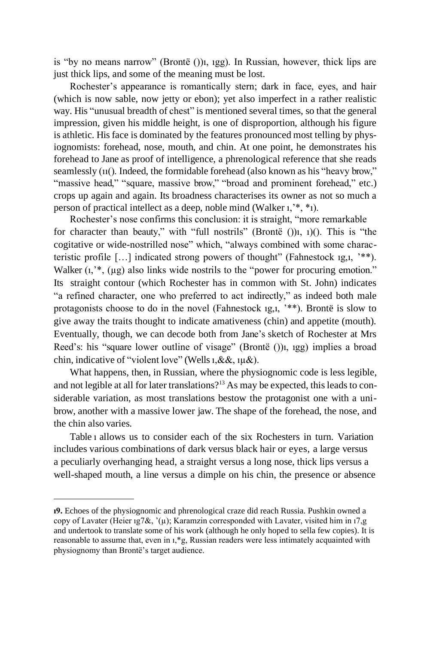is "by no means narrow" (Brontë ())ı, ıgg). In Russian, however, thick lips are just thick lips, and some of the meaning must be lost.

Rochester's appearance is romantically stern; dark in face, eyes, and hair (which is now sable, now jetty or ebon); yet also imperfect in a rather realistic way. His "unusual breadth of chest" is mentioned several times, so that the general impression, given his middle height, is one of disproportion, although his figure is athletic. Hisface is dominated by the features pronounced most telling by physiognomists: forehead, nose, mouth, and chin. At one point, he demonstrates his forehead to Jane as proof of intelligence, a phrenological reference that she reads seamlessly (ıı(). Indeed, the formidable forehead (also known as his "heavy brow," "massive head," "square, massive brow," "broad and prominent forehead," etc.) crops up again and again. Its broadness characterises its owner as not so much a person of practical intellect as a deep, noble mind (Walker ı,'\*, \*ı).

Rochester's nose confirms this conclusion: it is straight, "more remarkable for character than beauty," with "full nostrils" (Brontë ())ı, ı)(). This is "the cogitative or wide-nostrilled nose" which, "always combined with some characteristic profile […] indicated strong powers of thought" (Fahnestock ıg,ı, '\*\*). Walker (1,<sup>\*\*</sup>, (µg) also links wide nostrils to the "power for procuring emotion." Its straight contour (which Rochester has in common with St. John) indicates "a refined character, one who preferred to act indirectly," as indeed both male protagonists choose to do in the novel (Fahnestock ıg,ı, '\*\*). Brontë is slow to give away the traits thought to indicate amativeness (chin) and appetite (mouth). Eventually, though, we can decode both from Jane's sketch of Rochester at Mrs Reed's: his "square lower outline of visage" (Brontë ())ı, ıgg) implies a broad chin, indicative of "violent love" (Wellsı,&&, ıµ&).

What happens, then, in Russian, where the physiognomic code is less legible, and not legible at all for later translations?<sup>13</sup> As may be expected, this leads to considerable variation, as most translations bestow the protagonist one with a unibrow, another with a massive lower jaw. The shape of the forehead, the nose, and the chin also varies.

Table ı allows us to consider each of the six Rochesters in turn. Variation includes various combinations of dark versus black hair or eyes, a large versus a peculiarly overhanging head, a straight versus a long nose, thick lips versus a well-shaped mouth, a line versus a dimple on his chin, the presence or absence

**ı9.** Echoes of the physiognomic and phrenological craze did reach Russia. Pushkin owned a copy of Lavater (Heier ıg7&, '(µ); Karamzin corresponded with Lavater, visited him in ı7,g and undertook to translate some of his work (although he only hoped to sella few copies). It is reasonable to assume that, even in ı,\*g, Russian readers were less intimately acquainted with physiognomy than Brontë's target audience.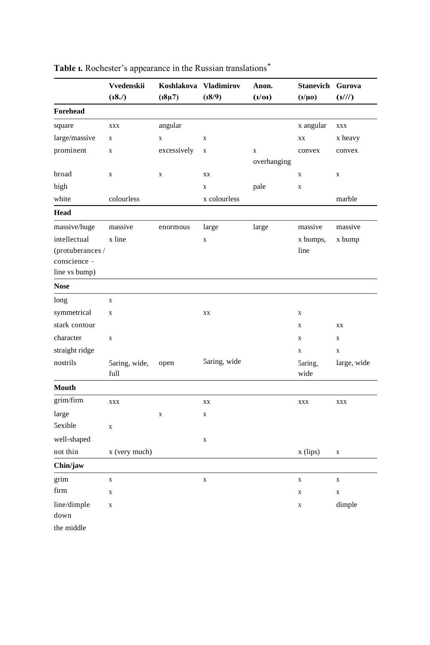|                     | Vvedenskii            | Koshlakova  | <b>Vladimirov</b> | Anon.       | <b>Stanevich</b> | Gurova      |
|---------------------|-----------------------|-------------|-------------------|-------------|------------------|-------------|
|                     | (18.7)                | $(18\mu)$   | (18/9)            | (l/0l)      | $(l/ \mu 0)$     | (1/1/1)     |
| Forehead            |                       |             |                   |             |                  |             |
| square              | <b>XXX</b>            | angular     |                   |             | x angular        | XXX         |
| large/massive       | $\mathbf X$           | $\mathbf X$ | $\mathbf X$       |             | XX               | x heavy     |
| prominent           | $\mathbf X$           | excessively | $\mathbf X$       | X           | convex           | convex      |
|                     |                       |             |                   | overhanging |                  |             |
| broad               | $\mathbf X$           | $\mathbf X$ | XX                |             | $\mathbf X$      | $\mathbf X$ |
| high                |                       |             | $\mathbf X$       | pale        | $\mathbf X$      |             |
| white               | colourless            |             | x colourless      |             |                  | marble      |
| <b>Head</b>         |                       |             |                   |             |                  |             |
| $\rm massive/huge$  | massive               | enormous    | large             | large       | massive          | massive     |
| intellectual        | x line                |             | $\mathbf X$       |             | x bumps,         | x bump      |
| (protuberances /    |                       |             |                   |             | line             |             |
| conscience-         |                       |             |                   |             |                  |             |
| line vs bump)       |                       |             |                   |             |                  |             |
| <b>Nose</b>         |                       |             |                   |             |                  |             |
| long                | $\bar{X}$             |             |                   |             |                  |             |
| symmetrical         | $\mathbf X$           |             | XX                |             | $\mathbf X$      |             |
| stark contour       |                       |             |                   |             | $\mathbf X$      | XX          |
| character           | X                     |             |                   |             | X                | X           |
| straight ridge      |                       |             |                   |             | $\mathbf x$      | $\mathbf X$ |
| nostrils            | 5aring, wide,<br>full | open        | 5aring, wide      |             | 5aring,<br>wide  | large, wide |
| Mouth               |                       |             |                   |             |                  |             |
| grim/firm           | XXX                   |             | XX                |             | XXX              | XXX         |
| large               |                       | $\mathbf X$ | $\mathbf X$       |             |                  |             |
| 5exible             | $\mathbf X$           |             |                   |             |                  |             |
| well-shaped         |                       |             | $\mathbf X$       |             |                  |             |
| not thin            | x (very much)         |             |                   |             | $x$ (lips)       | $\mathbf X$ |
| Chin/jaw            |                       |             |                   |             |                  |             |
| grim                | $\mathbf X$           |             | $\mathbf X$       |             | $\mathbf X$      | $\mathbf X$ |
| firm                | X                     |             |                   |             | X                | $\mathbf X$ |
| line/dimple<br>down | $\mathbf X$           |             |                   |             | $\mathbf X$      | dimple      |
| the middle          |                       |             |                   |             |                  |             |

**Table ı.** Rochester's appearance in the Russian translations\*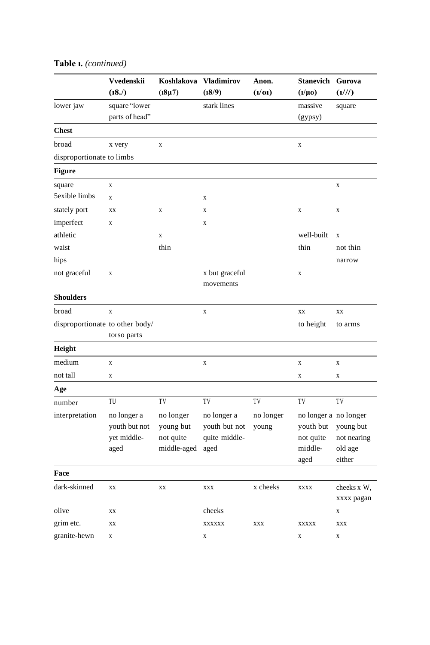|                                 | Vvedenskii     | Koshlakova  | <b>Vladimirov</b> | Anon.     | <b>Stanevich</b>      | Gurova                    |
|---------------------------------|----------------|-------------|-------------------|-----------|-----------------------|---------------------------|
|                                 | (18.7)         | $(18\mu)$   | (18/9)            | (l/0l)    | $(l/ \mu 0)$          | (1/1/1)                   |
| lower jaw                       | square "lower  |             | stark lines       |           | massive               | square                    |
|                                 | parts of head" |             |                   |           | (gypsy)               |                           |
| <b>Chest</b>                    |                |             |                   |           |                       |                           |
| broad                           | x very         | $\mathbf X$ |                   |           | $\mathbf X$           |                           |
| disproportionate to limbs       |                |             |                   |           |                       |                           |
| <b>Figure</b>                   |                |             |                   |           |                       |                           |
| square                          | $\mathbf X$    |             |                   |           |                       | $\mathbf X$               |
| 5exible limbs                   | $\mathbf X$    |             | X                 |           |                       |                           |
| stately port                    | XX             | X           | X                 |           | X                     | X                         |
| imperfect                       | $\mathbf X$    |             | $\mathbf X$       |           |                       |                           |
| athletic                        |                | $\mathbf X$ |                   |           | well-built            | $\mathbf X$               |
| waist                           |                | thin        |                   |           | thin                  | not thin                  |
| hips                            |                |             |                   |           |                       | narrow                    |
| not graceful                    | X              |             | x but graceful    |           | X                     |                           |
|                                 |                |             | movements         |           |                       |                           |
| <b>Shoulders</b>                |                |             |                   |           |                       |                           |
| broad                           | $\mathbf X$    |             | $\mathbf X$       |           | XX                    | XX                        |
| disproportionate to other body/ |                |             |                   |           | to height             | to arms                   |
|                                 | torso parts    |             |                   |           |                       |                           |
| Height                          |                |             |                   |           |                       |                           |
| medium                          | X              |             | X                 |           | X                     | X                         |
| not tall                        | $\mathbf X$    |             |                   |           | X                     | $\mathbf X$               |
| Age                             |                |             |                   |           |                       |                           |
| number                          | TU             | TV          | TV                | TV        | TV                    | TV                        |
| interpretation                  | no longer a    | no longer   | no longer a       | no longer | no longer a no longer |                           |
|                                 | youth but not  | young but   | youth but not     | young     | youth but             | young but                 |
|                                 | yet middle-    | not quite   | quite middle-     |           | not quite             | not nearing               |
|                                 | aged           | middle-aged | aged              |           | middle-               | old age                   |
|                                 |                |             |                   |           | aged                  | either                    |
| Face                            |                |             |                   |           |                       |                           |
| dark-skinned                    | XX             | XX          | XXX               | x cheeks  | <b>XXXX</b>           | cheeks x W,<br>xxxx pagan |
| olive                           | XX             |             | cheeks            |           |                       | X                         |
| grim etc.                       | XX             |             | <b>XXXXXX</b>     | XXX       | <b>XXXXX</b>          | XXX                       |
| granite-hewn                    | $\mathbf X$    |             | $\mathbf X$       |           | $\mathbf X$           | $\mathbf X$               |

## **Table ı.** *(continued)*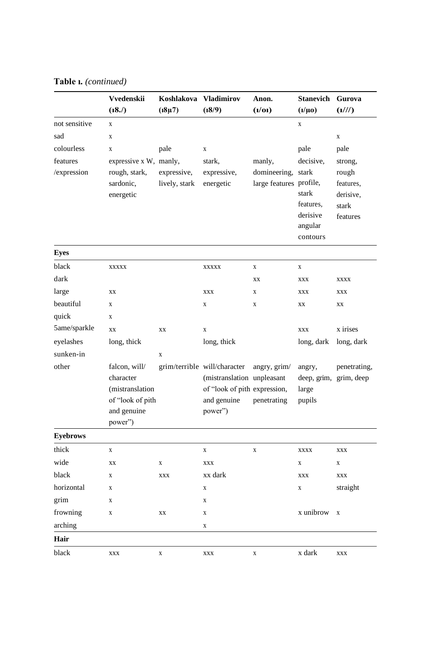**Table ı.** *(continued)*

|                 | Vvedenskii             | Koshlakova    | <b>Vladimirov</b>            | Anon.                   | <b>Stanevich</b>        | Gurova                 |
|-----------------|------------------------|---------------|------------------------------|-------------------------|-------------------------|------------------------|
|                 | (18.7)                 | $(18\mu)$     | (18/9)                       | (l/0l)                  | $(l/ \mu 0)$            | (1/1/1)                |
| not sensitive   | $\mathbf X$            |               |                              |                         | X                       |                        |
| sad             | $\mathbf X$            |               |                              |                         |                         | $\mathbf X$            |
| colourless      | X                      | pale          | $\mathbf X$                  |                         | pale                    | pale                   |
| features        | expressive x W, manly, |               | stark,                       | manly,                  | decisive,               | strong,                |
| /expression     | rough, stark,          | expressive,   | expressive,                  | domineering,            | stark                   | rough                  |
|                 | sardonic,              | lively, stark | energetic                    | large features profile, |                         | features,              |
|                 | energetic              |               |                              |                         | stark<br>features.      | derisive,              |
|                 |                        |               |                              |                         | derisive                | stark<br>features      |
|                 |                        |               |                              |                         | angular                 |                        |
|                 |                        |               |                              |                         | contours                |                        |
| <b>Eyes</b>     |                        |               |                              |                         |                         |                        |
| black           | XXXXX                  |               | XXXXX                        | X                       | $\mathbf X$             |                        |
| dark            |                        |               |                              | XX                      | <b>XXX</b>              | XXXX                   |
| large           | XX                     |               | <b>XXX</b>                   | $\mathbf X$             | XXX                     | XXX                    |
| beautiful       | $\mathbf X$            |               | $\mathbf X$                  | $\mathbf X$             | XX                      | XX                     |
| quick           | X                      |               |                              |                         |                         |                        |
| 5ame/sparkle    | XX                     | XX            | X                            |                         | <b>XXX</b>              | x irises               |
| eyelashes       | long, thick            |               | long, thick                  |                         | long, dark              | long, dark             |
| sunken-in       |                        | $\mathbf X$   |                              |                         |                         |                        |
| other           | falcon, will/          |               | grim/terrible will/character | angry, grim/            | angry,                  | penetrating,           |
|                 | character              |               | (mistranslation unpleasant   |                         |                         | deep, grim, grim, deep |
|                 | (mistranslation        |               | of "look of pith expression, |                         | large                   |                        |
|                 | of "look of pith       |               | and genuine                  | penetrating             | pupils                  |                        |
|                 | and genuine<br>power") |               | power")                      |                         |                         |                        |
| <b>Eyebrows</b> |                        |               |                              |                         |                         |                        |
| thick           | $\mathbf X$            |               | $\mathbf X$                  | $\mathbf X$             | XXXX                    | XXX                    |
| wide            | XX                     | X             | XXX                          |                         | $\overline{\mathbf{X}}$ | X                      |
| black           | X                      | <b>XXX</b>    | xx dark                      |                         | XXX                     | <b>XXX</b>             |
| horizontal      | X                      |               | X                            |                         | X                       | straight               |
| grim            | X                      |               | $\mathbf X$                  |                         |                         |                        |
| frowning        | X                      | XX            | X                            |                         | x unibrow               | X                      |
| arching         |                        |               | X                            |                         |                         |                        |
| Hair            |                        |               |                              |                         |                         |                        |
| black           | XXX                    | $\mathbf X$   | <b>XXX</b>                   | $\mathbf X$             | x dark                  | <b>XXX</b>             |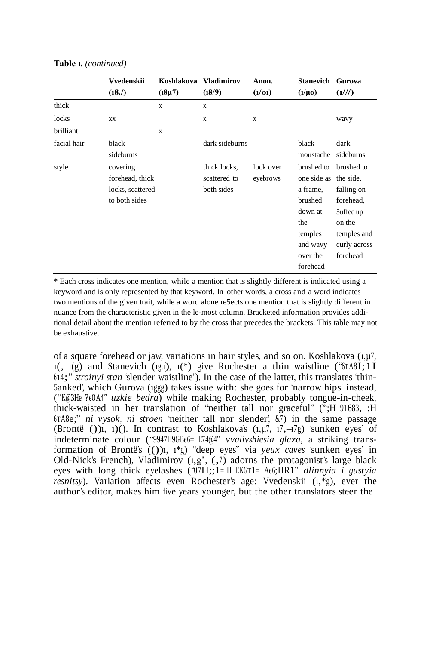|             | Vvedenskii                                                       | Koshlakova  | <b>Vladimirov</b>                          | Anon.                 | <b>Stanevich</b>                                                                                                            | Gurova                                                                                                  |
|-------------|------------------------------------------------------------------|-------------|--------------------------------------------|-----------------------|-----------------------------------------------------------------------------------------------------------------------------|---------------------------------------------------------------------------------------------------------|
|             | (18.7)                                                           | $(18\mu7)$  | (18/9)                                     | (l/0l)                | $(\mathbf{l}/\mathbf{\mu}\mathbf{0})$                                                                                       | (1/1/1)                                                                                                 |
| thick       |                                                                  | $\mathbf x$ | $\mathbf x$                                |                       |                                                                                                                             |                                                                                                         |
| locks       | XX                                                               |             | X                                          | X                     |                                                                                                                             | wavy                                                                                                    |
| brilliant   |                                                                  | X           |                                            |                       |                                                                                                                             |                                                                                                         |
| facial hair | black<br>sideburns                                               |             | dark sideburns                             |                       | black<br>moustache                                                                                                          | dark<br>sideburns                                                                                       |
| style       | covering<br>forehead, thick<br>locks, scattered<br>to both sides |             | thick locks,<br>scattered to<br>both sides | lock over<br>eyebrows | brushed to<br>one side as the side.<br>a frame,<br>brushed<br>down at<br>the<br>temples<br>and wavy<br>over the<br>forehead | brushed to<br>falling on<br>forehead,<br>5uffed up<br>on the<br>temples and<br>curly across<br>forehead |

**Table ı.** *(continued)*

\* Each cross indicates one mention, while a mention that is slightly different is indicated using a keyword and is only represented by that keyword. In other words, a cross and a word indicates two mentions of the given trait, while a word alone re5ects one mention that is slightly different in nuance from the characteristic given in the le-most column. Bracketed information provides additional detail about the mention referred to by the cross that precedes the brackets. This table may not be exhaustive.

of a square forehead or jaw, variations in hair styles, and so on. Koshlakova (ı,µ7,  $1(-1)(g)$  and Stanevich (1gu),  $1(*)$  give Rochester a thin waistline ("6TA8I; 1I <sup>6</sup>T4;" *stroinyi stan* 'slender waistline'). In the case of the latter, this translates 'thin-5anked', which Gurova (ıggg) takes issue with: she goes for 'narrow hips' instead, ("K@3He ?e0A4" *uzkie bedra*) while making Rochester, probably tongue-in-cheek, thick-waisted in her translation of "neither tall nor graceful" (";H 91683, ;H <sup>6</sup>TA8e;" *ni vysok, ni stroen* 'neither tall nor slender', &7) in the same passage (Brontë ()), 1)(). In contrast to Koshlakova's  $(1, \mu 7, 17, -17)$  'sunken eyes' of indeterminate colour ("9947H9GBe6= E74@4" *vvalivshiesia glaza*, a striking transformation of Brontë's (())ı, ı\*g) "deep eyes" via *yeux caves* 'sunken eyes' in Old-Nick's French), Vladimirov (1,g', (,7) adorns the protagonist's large black eyes with long thick eyelashes ("0 7H;;1= <sup>H</sup> EK6T1= Ae6;HR1" *dlinnyia i gustyia resnitsy*). Variation affects even Rochester's age: Vvedenskii  $(1, *g)$ , ever the author's editor, makes him five years younger, but the other translators steer the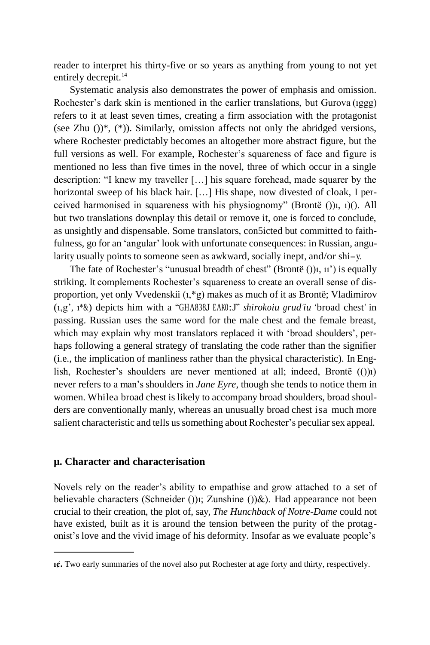reader to interpret his thirty-five or so years as anything from young to not yet entirely decrepit.<sup>14</sup>

Systematic analysis also demonstrates the power of emphasis and omission. Rochester's dark skin is mentioned in the earlier translations, but Gurova (ıggg) refers to it at least seven times, creating a firm association with the protagonist (see Zhu  $()$ <sup>\*</sup>, (<sup>\*</sup>)). Similarly, omission affects not only the abridged versions, where Rochester predictably becomes an altogether more abstract figure, but the full versions as well. For example, Rochester's squareness of face and figure is mentioned no less than five times in the novel, three of which occur in a single description: "I knew my traveller […] his square forehead, made squarer by the horizontal sweep of his black hair. [...] His shape, now divested of cloak, I perceived harmonised in squareness with his physiognomy" (Brontë ())ı, ı)(). All but two translations downplay this detail or remove it, one is forced to conclude, as unsightly and dispensable. Some translators, con5icted but committed to faithfulness, go for an 'angular' look with unfortunate consequences: in Russian, angularity usually points to someone seen as awkward, socially inept, and/or shi-y.

The fate of Rochester's "unusual breadth of chest" (Brontë () $\mu$ ,  $\mu$ ) is equally striking. It complements Rochester's squareness to create an overall sense of disproportion, yet only Vvedenskii (ı,\*g) makes as much of it as Brontë; Vladimirov (ı,g', ı\*&) depicts him with <sup>a</sup> "GHA838J EAK0:J" *shirokoiu grud'iu* 'broad chest' in passing. Russian uses the same word for the male chest and the female breast, which may explain why most translators replaced it with 'broad shoulders', perhaps following a general strategy of translating the code rather than the signifier (i.e., the implication of manliness rather than the physical characteristic). In English, Rochester's shoulders are never mentioned at all; indeed, Brontë (())ı) never refers to a man's shoulders in *Jane Eyre*, though she tends to notice them in women. Whilea broad chest is likely to accompany broad shoulders, broad shoulders are conventionally manly, whereas an unusually broad chest isa much more salient characteristic and tells ussomething about Rochester's peculiar sex appeal.

#### **µ. Character and characterisation**

Novels rely on the reader's ability to empathise and grow attached to a set of believable characters (Schneider ())ı; Zunshine ())&). Had appearance not been crucial to their creation, the plot of, say, *The Hunchback of Notre-Dame* could not have existed, built as it is around the tension between the purity of the protagonist's love and the vivid image of his deformity. Insofar as we evaluate people's

**ı¢.** Two early summaries of the novel also put Rochester at age forty and thirty, respectively.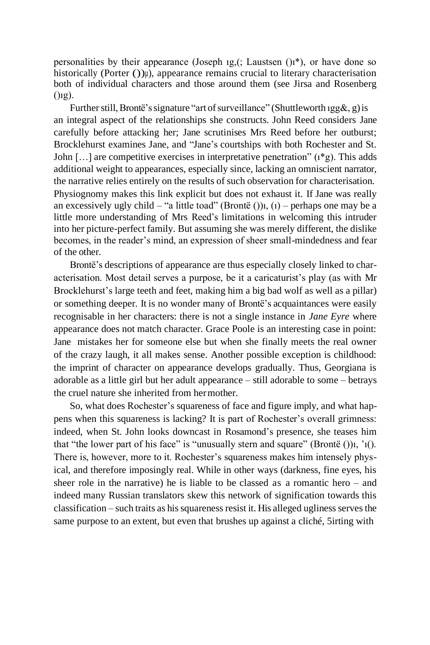personalities by their appearance (Joseph 1g, (; Laustsen  $($ ) $i^*$ ), or have done so historically (Porter  $()$ ) $)$ , appearance remains crucial to literary characterisation both of individual characters and those around them (see Jirsa and Rosenberg  $()$ <sub>12</sub> $).$ 

Further still, Brontë's signature "art of surveillance" (Shuttleworth  $\text{igg\&}, g$ ) is an integral aspect of the relationships she constructs. John Reed considers Jane carefully before attacking her; Jane scrutinises Mrs Reed before her outburst; Brocklehurst examines Jane, and "Jane's courtships with both Rochester and St. John  $[\dots]$  are competitive exercises in interpretative penetration" ( $i$ \*g). This adds additional weight to appearances, especially since, lacking an omniscient narrator, the narrative relies entirely on the results of such observation for characterisation. Physiognomy makes this link explicit but does not exhaust it. If Jane was really an excessively ugly child – "a little toad" (Brontë ()) $i$ , (1) – perhaps one may be a little more understanding of Mrs Reed's limitations in welcoming this intruder into her picture-perfect family. But assuming she was merely different, the dislike becomes, in the reader's mind, an expression of sheer small-mindedness and fear of the other.

Brontë's descriptions of appearance are thus especially closely linked to characterisation. Most detail serves a purpose, be it a caricaturist's play (as with Mr Brocklehurst's large teeth and feet, making him a big bad wolf as well as a pillar) or something deeper. It is no wonder many of Brontë's acquaintances were easily recognisable in her characters: there is not a single instance in *Jane Eyre* where appearance does not match character. Grace Poole is an interesting case in point: Jane mistakes her for someone else but when she finally meets the real owner of the crazy laugh, it all makes sense. Another possible exception is childhood: the imprint of character on appearance develops gradually. Thus, Georgiana is adorable as a little girl but her adult appearance – still adorable to some – betrays the cruel nature she inherited from hermother.

So, what does Rochester's squareness of face and figure imply, and what happens when this squareness is lacking? It is part of Rochester's overall grimness: indeed, when St. John looks downcast in Rosamond's presence, she teases him that "the lower part of his face" is "unusually stern and square" (Brontë  $()$ ) $i, '1()$ . There is, however, more to it. Rochester's squareness makes him intensely physical, and therefore imposingly real. While in other ways (darkness, fine eyes, his sheer role in the narrative) he is liable to be classed as a romantic hero – and indeed many Russian translators skew this network of signification towards this  $classification - such traits as his squares resist it. His alleged ugliness serves the$ same purpose to an extent, but even that brushes up against a cliché, 5irting with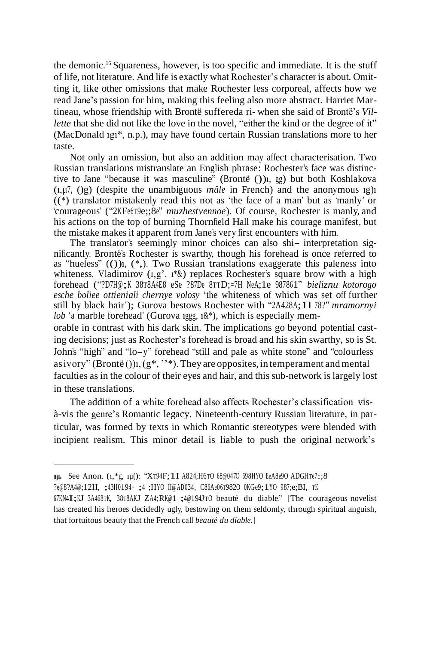the demonic.<sup>15</sup>Squareness, however, is too specific and immediate. It is the stuff of life, not literature. And life is exactly what Rochester's character is about. Omitting it, like other omissions that make Rochester less corporeal, affects how we read Jane's passion for him, making this feeling also more abstract. Harriet Martineau, whose friendship with Brontë suffereda ri- when she said of Brontë's *Villette* that she did not like the love in the novel, "either the kind or the degree of it" (MacDonald ıgı\*, n.p.), may have found certain Russian translations more to her taste.

Not only an omission, but also an addition may affect characterisation. Two Russian translations mistranslate an English phrase: Rochester's face was distinctive to Jane "because it was masculine" (Brontë ())<sub>1</sub>, gg) but both Koshlakova (ı,µ7, ()g) (despite the unambiguous *mâle* in French) and the anonymous ıg)ı ((\*) translator mistakenly read this not as 'the face of a man' but as 'manly' or 'courageous' ("2KFe6T9e;;8e" *muzhestvennoe*). Of course, Rochester is manly, and his actions on the top of burning Thornfield Hall make his courage manifest, but the mistake makes it apparent from Jane's very first encounters with him.

The translator's seemingly minor choices can also shi- interpretation significantly. Brontë's Rochester is swarthy, though his forehead is once referred to as "hueless"  $($ ())<sub>1</sub>,  $(*$ ). Two Russian translations exaggerate this paleness into whiteness. Vladimirov  $(i, g', i^* \&)$  replaces Rochester's square brow with a high forehead ("?D7H@;K <sup>38</sup>T8A4E8 eSe ?87De <sup>8</sup>TTD;=7H NeA;1e 987861" *bieliznu kotorogo esche boliee ottieniali chernye volosy* 'the whiteness of which was set off further still by black hair'); Gurova bestows Rochester with "2A428A;1I 78?" *mramornyi lob* 'a marble forehead' (Gurova 1ggg,  $1\&*$ ), which is especially mem-

orable in contrast with his dark skin. The implications go beyond potential casting decisions; just as Rochester's forehead is broad and his skin swarthy, so is St. John's "high" and "lo-y" forehead "still and pale as white stone" and "colourless as ivory" (Brontë ()) $i$ , (g\*, '\*\*). They are opposites, in temperament and mental faculties as in the colour of their eyes and hair, and this sub-network is largely lost in these translations.

The addition of a white forehead also affects Rochester's classification visà-vis the genre's Romantic legacy. Nineteenth-century Russian literature, in particular, was formed by texts in which Romantic stereotypes were blended with incipient realism. This minor detail is liable to push the original network's

**ıµ.** See Anon. (ı,\*g, ıµ(): "XT94F;1I A824;H6T<sup>O</sup> 68@047O 698HYO EeA8e9O ADGHTe7:;8

<sup>?</sup>e@8?A4@;12H, ;43H0194= ;4 ;HYO H@AD034, C86Ae06T982O 0KGe9;1YO 987;e;BI, <sup>T</sup><sup>K</sup>

<sup>67</sup>KN4I;KJ 3A468TK, <sup>38</sup>T8AKJ ZA4;RK@1 ;4@194J<sup>T</sup><sup>O</sup> beauté du diable." [The courageous novelist has created his heroes decidedly ugly, bestowing on them seldomly, through spiritual anguish, that fortuitous beauty that the French call *beauté du diable*.]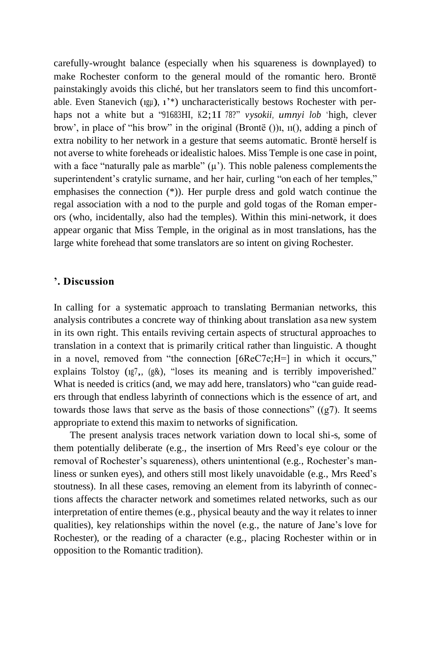carefully-wrought balance (especially when his squareness is downplayed) to make Rochester conform to the general mould of the romantic hero. Brontë painstakingly avoids this cliché, but her translators seem to find this uncomfortable. Even Stanevich ( $19\mu$ ),  $1^*$ ) uncharacteristically bestows Rochester with perhaps not a white but a "91683HI, K2;1I 78?" *vysokii, umnyi lob* 'high, clever brow', in place of "his brow" in the original (Brontë ())ı, ıı(), adding a pinch of extra nobility to her network in a gesture that seems automatic. Brontë herself is not averse to white foreheads or idealistic haloes. Miss Temple is one case in point, with a face "naturally pale as marble"  $(u')$ . This noble paleness complements the superintendent's cratylic surname, and her hair, curling "on each of her temples," emphasises the connection (\*)). Her purple dress and gold watch continue the regal association with a nod to the purple and gold togas of the Roman emperors (who, incidentally, also had the temples). Within this mini-network, it does appear organic that Miss Temple, in the original as in most translations, has the large white forehead that some translators are so intent on giving Rochester.

#### **'. Discussion**

In calling for a systematic approach to translating Bermanian networks, this analysis contributes a concrete way of thinking about translation asa new system in its own right. This entails reviving certain aspects of structural approaches to translation in a context that is primarily critical rather than linguistic. A thought in a novel, removed from "the connection [6ReC7e;H=] in which it occurs," explains Tolstoy (1g7, (g&), "loses its meaning and is terribly impoverished." What is needed is critics (and, we may add here, translators) who "can guide readers through that endless labyrinth of connections which is the essence of art, and towards those laws that serve as the basis of those connections"  $((g7)$ . It seems appropriate to extend this maxim to networks of signification.

The present analysis traces network variation down to local shi-s, some of them potentially deliberate (e.g., the insertion of Mrs Reed's eye colour or the removal of Rochester's squareness), others unintentional (e.g., Rochester's manliness or sunken eyes), and others still most likely unavoidable (e.g., Mrs Reed's stoutness). In all these cases, removing an element from its labyrinth of connections affects the character network and sometimes related networks, such as our interpretation of entire themes (e.g., physical beauty and the way it relates to inner qualities), key relationships within the novel (e.g., the nature of Jane's love for Rochester), or the reading of a character (e.g., placing Rochester within or in opposition to the Romantic tradition).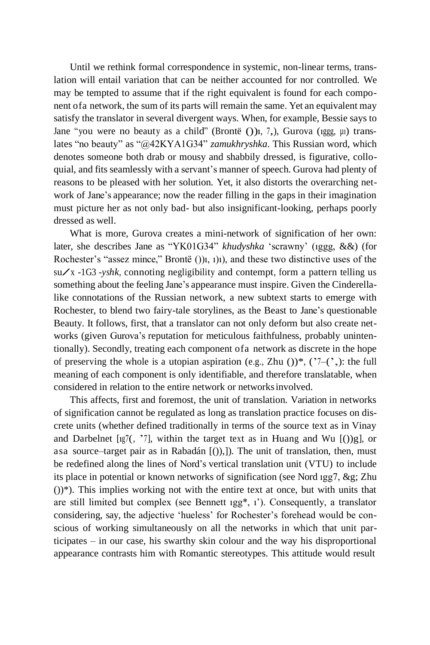Until we rethink formal correspondence in systemic, non-linear terms, translation will entail variation that can be neither accounted for nor controlled. We may be tempted to assume that if the right equivalent is found for each component ofa network, the sum of its parts will remain the same. Yet an equivalent may satisfy the translator in several divergent ways. When, for example, Bessie says to Jane "you were no beauty as a child" (Brontë ())i, 7,), Gurova (1ggg,  $\mu$ i) translates "no beauty" as "@42KYA1G34" *zamukhryshka*. This Russian word, which denotes someone both drab or mousy and shabbily dressed, is figurative, colloquial, and fits seamlessly with a servant's manner of speech. Gurova had plenty of reasons to be pleased with her solution. Yet, it also distorts the overarching network of Jane's appearance; now the reader filling in the gaps in their imagination must picture her as not only bad- but also insignificant-looking, perhaps poorly dressed as well.

What is more, Gurova creates a mini-network of signification of her own: later, she describes Jane as "YK01G34" *khudyshka* 'scrawny' (ıggg, &&) (for Rochester's "assez mince," Brontë ())ı, ı)ı), and these two distinctive uses of the su/x -1G3 -*yshk*, connoting negligibility and contempt, form <sup>a</sup> pattern telling us something about the feeling Jane's appearance must inspire. Given the Cinderellalike connotations of the Russian network, a new subtext starts to emerge with Rochester, to blend two fairy-tale storylines, as the Beast to Jane's questionable Beauty. It follows, first, that a translator can not only deform but also create networks (given Gurova's reputation for meticulous faithfulness, probably unintentionally). Secondly, treating each component ofa network as discrete in the hope of preserving the whole is a utopian aspiration (e.g., Zhu  $()$ )\*,  $($ 7– $($ <sup>\*</sup>, $)$ : the full meaning of each component is only identifiable, and therefore translatable, when considered in relation to the entire network or networksinvolved.

This affects, first and foremost, the unit of translation. Variation in networks of signification cannot be regulated as long as translation practice focuses on discrete units (whether defined traditionally in terms of the source text as in Vinay and Darbelnet [ $\lg(7)$ ,  $\frac{1}{2}$ ], within the target text as in Huang and Wu [())g], or asa source–target pair as in Rabadán [()),]). The unit of translation, then, must be redefined along the lines of Nord's vertical translation unit (VTU) to include its place in potential or known networks of signification (see Nord ıgg7, &g; Zhu ())\*). This implies working not with the entire text at once, but with units that are still limited but complex (see Bennett ıgg\*, ı'). Consequently, a translator considering, say, the adjective 'hueless' for Rochester's forehead would be conscious of working simultaneously on all the networks in which that unit participates – in our case, his swarthy skin colour and the way his disproportional appearance contrasts him with Romantic stereotypes. This attitude would result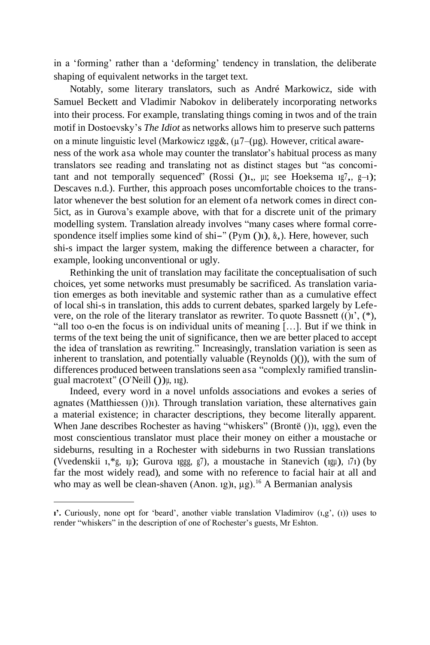in a 'forming' rather than a 'deforming' tendency in translation, the deliberate shaping of equivalent networks in the target text.

Notably, some literary translators, such as André Markowicz, side with Samuel Beckett and Vladimir Nabokov in deliberately incorporating networks into their process. For example, translating things coming in twos and of the train motif in Dostoevsky's *The Idiot* as networks allows him to preserve such patterns on a minute linguistic level (Markowicz ıgg&, (µ7–(µg). However, critical awareness of the work asa whole may counter the translator's habitual process as many translators see reading and translating not as distinct stages but "as concomitant and not temporally sequenced" (Rossi ()<sub>1</sub>,  $\mu$ ; see Hoeksema 1g7,, g-1); Descaves n.d.). Further, this approach poses uncomfortable choices to the translator whenever the best solution for an element ofa network comes in direct con-5ict, as in Gurova's example above, with that for a discrete unit of the primary modelling system. Translation already involves "many cases where formal correspondence itself implies some kind of shi-" (Pym ()1),  $\&$ ,). Here, however, such shi-s impact the larger system, making the difference between a character, for example, looking unconventional or ugly.

Rethinking the unit of translation may facilitate the conceptualisation of such choices, yet some networks must presumably be sacrificed. As translation variation emerges as both inevitable and systemic rather than as a cumulative effect of local shi-s in translation, this adds to current debates, sparked largely by Lefevere, on the role of the literary translator as rewriter. To quote Bassnett  $(0)$ <sup>'</sup>,  $(*)$ , "all too o-en the focus is on individual units of meaning […]. But if we think in terms of the text being the unit of significance, then we are better placed to accept the idea of translation as rewriting." Increasingly, translation variation is seen as inherent to translation, and potentially valuable (Reynolds ()()), with the sum of differences produced between translations seen asa "complexly ramified translingual macrotext" (O'Neill ()) $\mu$ , 11g).

Indeed, every word in a novel unfolds associations and evokes a series of agnates (Matthiessen ())ı). Through translation variation, these alternatives gain a material existence; in character descriptions, they become literally apparent. When Jane describes Rochester as having "whiskers" (Brontë ()), 1gg), even the most conscientious translator must place their money on either a moustache or sideburns, resulting in a Rochester with sideburns in two Russian translations (Vvedenskii ı,\*g, ıµ); Gurova ıggg, g7), a moustache in Stanevich (ıgµ), ı7ı) (by far the most widely read), and some with no reference to facial hair at all and who may as well be clean-shaven (Anon. 1g),  $\mu$ g).<sup>16</sup> A Bermanian analysis

**ı'.** Curiously, none opt for 'beard', another viable translation Vladimirov (ı,g', (ı)) uses to render "whiskers" in the description of one of Rochester's guests, Mr Eshton.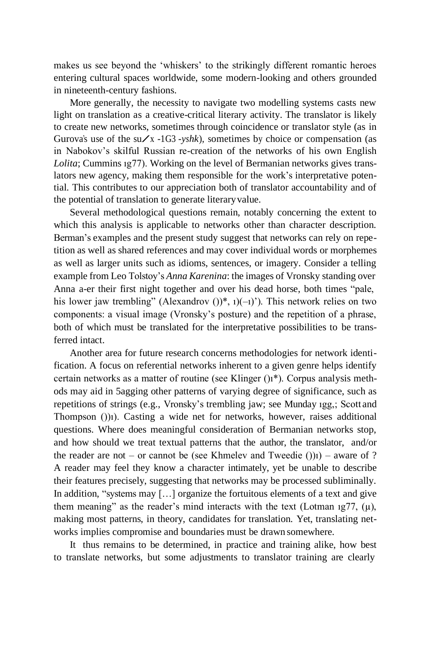makes us see beyond the 'whiskers' to the strikingly different romantic heroes entering cultural spaces worldwide, some modern-looking and others grounded in nineteenth-century fashions.

More generally, the necessity to navigate two modelling systems casts new light on translation as a creative-critical literary activity. The translator is likely to create new networks, sometimes through coincidence or translator style (as in Gurova's use of the su/x -1G3 -*yshk*), sometimes by choice or compensation (as in Nabokov's skilful Russian re-creation of the networks of his own English *Lolita*; Cummins ıg77). Working on the level of Bermanian networks gives translators new agency, making them responsible for the work's interpretative potential. This contributes to our appreciation both of translator accountability and of the potential of translation to generate literaryvalue.

Several methodological questions remain, notably concerning the extent to which this analysis is applicable to networks other than character description. Berman's examples and the present study suggest that networks can rely on repetition as well as shared references and may cover individual words or morphemes as well as larger units such as idioms, sentences, or imagery. Consider a telling example from Leo Tolstoy's *Anna Karenina*: the images of Vronsky standing over Anna a-er their first night together and over his dead horse, both times "pale, his lower jaw trembling" (Alexandrov  $()$ ,  $()$ (-1)'). This network relies on two components: a visual image (Vronsky's posture) and the repetition of a phrase, both of which must be translated for the interpretative possibilities to be transferred intact.

Another area for future research concerns methodologies for network identification. A focus on referential networks inherent to a given genre helps identify certain networks as a matter of routine (see Klinger ()ı\*). Corpus analysis methods may aid in 5agging other patterns of varying degree of significance, such as repetitions of strings (e.g., Vronsky's trembling jaw; see Munday ıgg,; Scott and Thompson ())ı). Casting a wide net for networks, however, raises additional questions. Where does meaningful consideration of Bermanian networks stop, and how should we treat textual patterns that the author, the translator, and/or the reader are not – or cannot be (see Khmelev and Tweedie  $($ ) $)$ <sub>1</sub>) – aware of ? A reader may feel they know a character intimately, yet be unable to describe their features precisely, suggesting that networks may be processed subliminally. In addition, "systems may [...] organize the fortuitous elements of a text and give them meaning" as the reader's mind interacts with the text (Lotman  $1977$ , (u), making most patterns, in theory, candidates for translation. Yet, translating networks implies compromise and boundaries must be drawn somewhere.

It thus remains to be determined, in practice and training alike, how best to translate networks, but some adjustments to translator training are clearly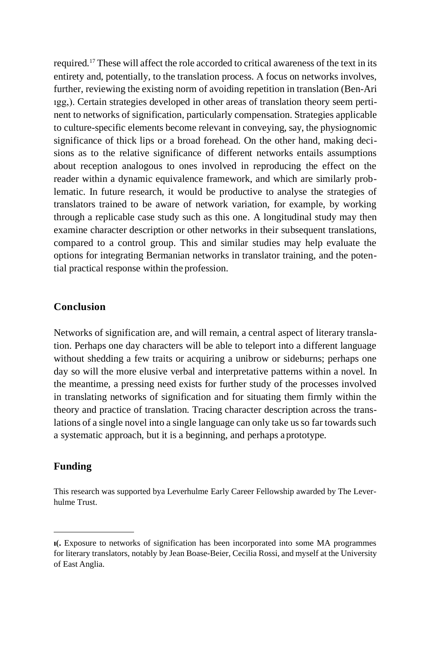required.<sup>17</sup> These will affect the role accorded to critical awareness of the text in its entirety and, potentially, to the translation process. A focus on networks involves, further, reviewing the existing norm of avoiding repetition in translation (Ben-Ari ıgg,). Certain strategies developed in other areas of translation theory seem pertinent to networks of signification, particularly compensation. Strategies applicable to culture-specific elements become relevant in conveying, say, the physiognomic significance of thick lips or a broad forehead. On the other hand, making decisions as to the relative significance of different networks entails assumptions about reception analogous to ones involved in reproducing the effect on the reader within a dynamic equivalence framework, and which are similarly problematic. In future research, it would be productive to analyse the strategies of translators trained to be aware of network variation, for example, by working through a replicable case study such as this one. A longitudinal study may then examine character description or other networks in their subsequent translations, compared to a control group. This and similar studies may help evaluate the options for integrating Bermanian networks in translator training, and the potential practical response within the profession.

### **Conclusion**

Networks of signification are, and will remain, a central aspect of literary translation. Perhaps one day characters will be able to teleport into a different language without shedding a few traits or acquiring a unibrow or sideburns; perhaps one day so will the more elusive verbal and interpretative patterns within a novel. In the meantime, a pressing need exists for further study of the processes involved in translating networks of signification and for situating them firmly within the theory and practice of translation. Tracing character description across the translations of a single novel into a single language can only take us so far towards such a systematic approach, but it is a beginning, and perhaps aprototype.

#### **Funding**

This research was supported bya Leverhulme Early Career Fellowship awarded by The Leverhulme Trust.

**ı(.** Exposure to networks of signification has been incorporated into some MA programmes for literary translators, notably by Jean Boase-Beier, Cecilia Rossi, and myself at the University of East Anglia.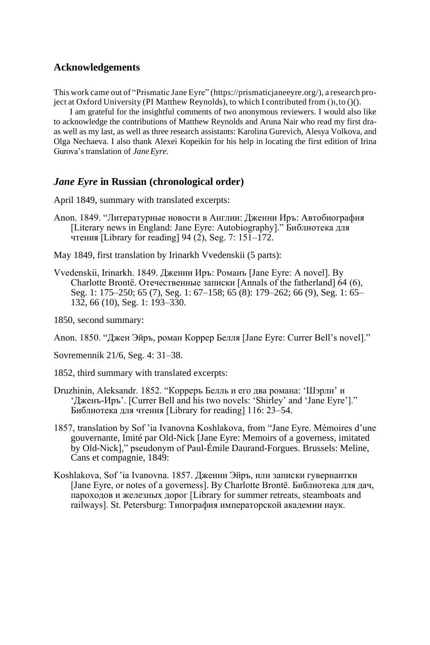#### **Acknowledgements**

This work came out of "Prismatic Jane Eyre" [\(https://prismaticjaneeyre.org/\)](https://prismaticjaneeyre.org/), a research project at Oxford University (PI Matthew Reynolds), to which I contributed from ()ı,to ()().

I am grateful for the insightful comments of two anonymous reviewers. I would also like to acknowledge the contributions of Matthew Reynolds and Aruna Nair who read my first draas well as my last, as well as three research assistants: Karolina Gurevich, Alesya Volkova, and Olga Nechaeva. I also thank Alexei Kopeikin for his help in locating the first edition of Irina Gurova's translation of *JaneEyre*.

#### *Jane Eyre* **in Russian (chronological order)**

April 1849, summary with translated excerpts:

- Anon. 1849. "Литературные новости в Англии: Дженни Иръ: Автобиография [Literary news in England: Jane Eyre: Autobiography]." Библиотека для чтения [Library for reading] 94 (2), Seg. 7: 151–172.
- May 1849, first translation by Irinarkh Vvedenskii (5 parts):
- Vvedenskii, Irinarkh. 1849. Дженни Иръ: Романъ [Jane Eyre: A novel]. By Charlotte Brontë. Отечественные записки [Annals of the fatherland] 64 (6), Seg. 1: 175–250; 65 (7), Seg. 1: 67–158; 65 (8): 179–262; 66 (9), Seg. 1: 65– 132, 66 (10), Seg. 1: 193–330.

1850, second summary:

Anon. 1850. "Джен Эйръ, роман Коррер Белля [Jane Eyre: Currer Bell's novel]."

Sovremennik 21/6, Seg. 4: 31–38.

1852, third summary with translated excerpts:

- Druzhinin, Aleksandr. 1852. "Корреръ Белль и его два романа: 'Шэрли' и 'Дженъ-Иръ'. [Currer Bell and his two novels: 'Shirley' and 'Jane Eyre']." Библиотека для чтения [Library for reading] 116: 23–54.
- 1857, translation by Sof 'ia Ivanovna Koshlakova, from "Jane Eyre. Mémoires d'une gouvernante, Imité par Old-Nick [Jane Eyre: Memoirs of a governess, imitated by Old-Nick]," pseudonym of Paul-Émile Daurand-Forgues. Brussels: Meline, Cans et compagnie, 1849:
- Koshlakova, Sof 'ia Ivanovna. 1857. Дженни Эйръ, или записки гувернантки [Jane Eyre, or notes of a governess]. By Charlotte Brontë. Библиотека для дач, пароходов и железных дорог [Library for summer retreats, steamboats and railways]. St. Petersburg: Типография императорской академии наук.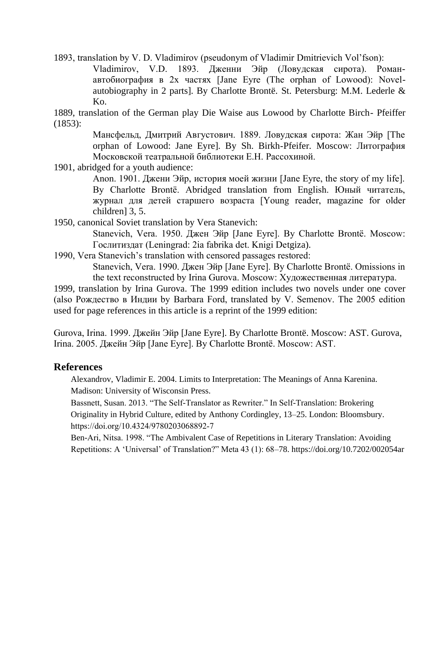1893, translation by V. D. Vladimirov (pseudonym of Vladimir Dmitrievich Vol'fson):

Vladimirov, V.D. 1893. Дженни Эйр (Ловудская сирота). Романавтобиография в 2х частях [Jane Eyre (The orphan of Lowood): Novelautobiography in 2 parts]. By Charlotte Brontë. St. Petersburg: M.M. Lederle & Ko.

1889, translation of the German play Die Waise aus Lowood by Charlotte Birch- Pfeiffer (1853):

> Мансфельд, Дмитрий Августович. 1889. Ловудская сирота: Жан Эйр [The orphan of Lowood: Jane Eyre]. By Sh. Birkh-Pfeifer. Moscow: Литография Московской театральной библиотеки Е.Н. Рассохиной.

1901, abridged for a youth audience:

Anon. 1901. Джени Эйр, история моей жизни [Jane Eyre, the story of my life]. By Charlotte Brontë. Abridged translation from English. Юный читатель, журнал для детей старшего возраста [Young reader, magazine for older children] 3, 5.

1950, canonical Soviet translation by Vera Stanevich:

Stanevich, Vera. 1950. Джен Эйр [Jane Eyre]. By Charlotte Brontë. Moscow: Гослитиздат (Leningrad: 2ia fabrika det. Knigi Detgiza).

1990, Vera Stanevich's translation with censored passages restored:

Stanevich, Vera. 1990. Джен Эйр [Jane Eyre]. By Charlotte Brontë. Omissions in the text reconstructed by Irina Gurova. Moscow: Художественная литература.

1999, translation by Irina Gurova. The 1999 edition includes two novels under one cover (also Рождество в Индии by Barbara Ford, translated by V. Semenov. The 2005 edition used for page references in this article is a reprint of the 1999 edition:

Gurova, Irina. 1999. Джейн Эйр [Jane Eyre]. By Charlotte Brontë. Moscow: AST. Gurova, Irina. 2005. Джейн Эйр [Jane Eyre]. By Charlotte Brontë. Moscow: AST.

### **References**

Alexandrov, Vladimir E. 2004. Limits to Interpretation: The Meanings of Anna Karenina. Madison: University of Wisconsin Press.

Bassnett, Susan. 2013. "The Self-Translator as Rewriter." In Self-Translation: Brokering Originality in Hybrid Culture, edited by Anthony Cordingley, 13–25. London: Bloomsbury. https://doi.org/10.4324/9780203068892‐7

Ben-Ari, Nitsa. 1998. "The Ambivalent Case of Repetitions in Literary Translation: Avoiding Repetitions: A 'Universal' of Translation?" Meta 43 (1): 68–78. https://doi.org/10.7202/002054ar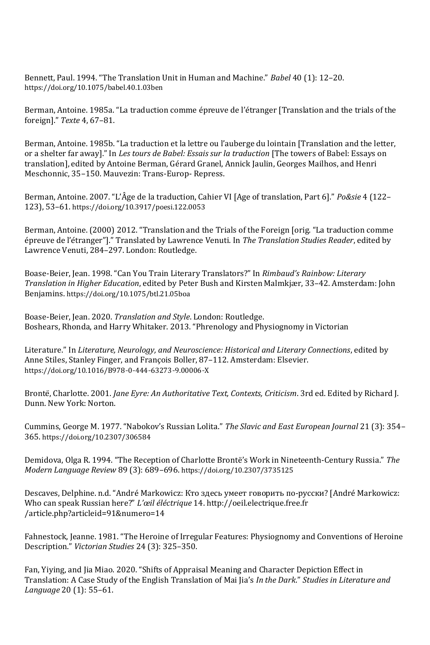Bennett, Paul. 1994. "The Translation Unit in Human and Machine." *Babel* 40 (1): 12–20. https://doi.org/10.1075/babel.40.1.03ben

Berman, Antoine. 1985а. "La traduction comme épreuve de l'étranger [Translation and the trials of the foreign]." *Texte* 4, 67–81.

Berman, Antoine. 1985b. "La traduction et la lettre ou l'auberge du lointain [Translation and the letter, or a shelter far away]." In *Les tours de Babel: Essais sur la traduction* [The towers of Babel: Essays on translation], edited by Antoine Berman, Gérard Granel, Annick Jaulin, Georges Mailhos, and Henri Meschonnic, 35–150. Mauvezin: Trans-Europ- Repress.

Berman, Antoine. 2007. "L'Âge de la traduction, Cahier VI [Age of translation, Part 6]." *Po&sie* 4 (122– 123), 53–61. https://doi.org/10.3917/poesi.122.0053

Berman, Antoine. (2000) 2012. "Translation and the Trials of the Foreign [orig. "La traduction comme épreuve de l'étranger"]." Translated by Lawrence Venuti. In *The Translation Studies Reader*, edited by Lawrence Venuti, 284–297. London: Routledge.

Boase-Beier, Jean. 1998. "Can You Train Literary Translators?" In *Rimbaud's Rainbow: Literary Translation in Higher Education*, edited by Peter Bush and Kirsten Malmkjær, 33–42. Amsterdam: John Benjamins. https://doi.org/10.1075/btl.21.05boa

Boase-Beier, Jean. 2020. *Translation and Style*. London: Routledge. Boshears, Rhonda, and Harry Whitaker. 2013. "Phrenology and Physiognomy in Victorian

Literature." In *Literature, Neurology, and Neuroscience: Historical and Literary Connections*, edited by Anne Stiles, Stanley Finger, and François Boller, 87–112. Amsterdam: Elsevier. https://doi.org/10.1016/B978‐0‐444‐63273‐9.00006‐X

Brontë, Charlotte. 2001. *Jane Eyre: An Authoritative Text, Contexts, Criticism*. 3rd ed. Edited by Richard J. Dunn. New York: Norton.

Cummins, George M. 1977. "Nabokov's Russian Lolita." *The Slavic and East European Journal* 21 (3): 354– 365. https://doi.org/10.2307/306584

Demidova, Olga R. 1994. "The Reception of Charlotte Brontë's Work in Nineteenth-Century Russia." *The Modern Language Review* 89 (3): 689–696. https://doi.org/10.2307/3735125

Descaves, Delphine. n.d. "André Markowicz: Кто здесь умеет говорить по-русски? [André Markowicz: Who can speak Russian here?" *L'œil éléctrique* 14. http://oeil.electrique.free.fr /article.php?articleid=91&numero=14

Fahnestock, Jeanne. 1981. "The Heroine of Irregular Features: Physiognomy and Conventions of Heroine Description." *Victorian Studies* 24 (3): 325–350.

Fan, Yiying, and Jia Miao. 2020. "Shifts of Appraisal Meaning and Character Depiction Effect in Translation: A Case Study of the English Translation of Mai Jia's *In the Dark*." *Studies in Literature and Language* 20 (1): 55–61.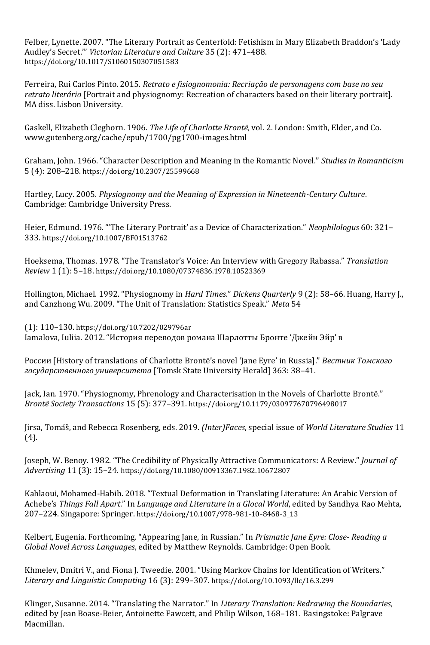Felber, Lynette. 2007. "The Literary Portrait as Centerfold: Fetishism in Mary Elizabeth Braddon's 'Lady Audley's Secret.'" *Victorian Literature and Culture* 35 (2): 471–488. https://doi.org/10.1017/S1060150307051583

Ferreira, Rui Carlos Pinto. 2015. *Retrato e fisiognomonia: Recriação de personagens com base no seu retrato literário* [Portrait and physiognomy: Recreation of characters based on their literary portrait]. MA diss. Lisbon University.

Gaskell, Elizabeth Cleghorn. 1906. *The Life of Charlotte Brontë*, vol. 2. London: Smith, Elder, and Co. www.gutenberg.org/cache/epub/1700/pg1700-images.html

Graham, John. 1966. "Character Description and Meaning in the Romantic Novel." *Studies in Romanticism*  5 (4): 208–218. https://doi.org/10.2307/25599668

Hartley, Lucy. 2005. *Physiognomy and the Meaning of Expression in Nineteenth-Century Culture*. Cambridge: Cambridge University Press.

Heier, Edmund. 1976. "'The Literary Portrait' as a Device of Characterization." *Neophilologus* 60: 321– 333. https://doi.org/10.1007/BF01513762

Hoeksema, Thomas. 1978. "The Translator's Voice: An Interview with Gregory Rabassa." *Translation Review* 1 (1): 5–18. https://doi.org/10.1080/07374836.1978.10523369

Hollington, Michael. 1992. "Physiognomy in *Hard Times*." *Dickens Quarterly* 9 (2): 58–66. Huang, Harry J., and Canzhong Wu. 2009. "The Unit of Translation: Statistics Speak." *Meta* 54

(1): 110–130. https://doi.org/10.7202/029796ar Iamalova, Iuliia. 2012. "История переводов романа Шарлотты Бронте 'Джейн Эйр' в

России [History of translations of Charlotte Brontë's novel 'Jane Eyre' in Russia]." *Вестник Томского государственного университета* [Tomsk State University Herald] 363: 38–41.

Jack, Ian. 1970. "Physiognomy, Phrenology and Characterisation in the Novels of Charlotte Brontë." *Brontë Society Transactions* 15 (5): 377–391. https://doi.org/10.1179/030977670796498017

Jirsa, Tomáš, and Rebecca Rosenberg, eds. 2019. *(Inter)Faces*, special issue of *World Literature Studies* 11 (4).

Joseph, W. Benoy. 1982. "The Credibility of Physically Attractive Communicators: A Review." *Journal of Advertising* 11 (3): 15–24. https://doi.org/10.1080/00913367.1982.10672807

Kahlaoui, Mohamed-Habib. 2018. "Textual Deformation in Translating Literature: An Arabic Version of Achebe's *Things Fall Apart*." In *Language and Literature in a Glocal World*, edited by Sandhya Rao Mehta, 207–224. Singapore: Springer. https://doi.org/10.1007/978‐981‐10‐8468‐3\_13

Kelbert, Eugenia. Forthcoming. "Appearing Jane, in Russian." In *Prismatic Jane Eyre: Close- Reading a Global Novel Across Languages*, edited by Matthew Reynolds. Cambridge: Open Book.

Khmelev, Dmitri V., and Fiona J. Tweedie. 2001. "Using Markov Chains for Identification of Writers." *Literary and Linguistic Computing* 16 (3): 299–307. https://doi.org/10.1093/llc/16.3.299

Klinger, Susanne. 2014. "Translating the Narrator." In *Literary Translation: Redrawing the Boundaries*, edited by Jean Boase-Beier, Antoinette Fawcett, and Philip Wilson, 168–181. Basingstoke: Palgrave Macmillan.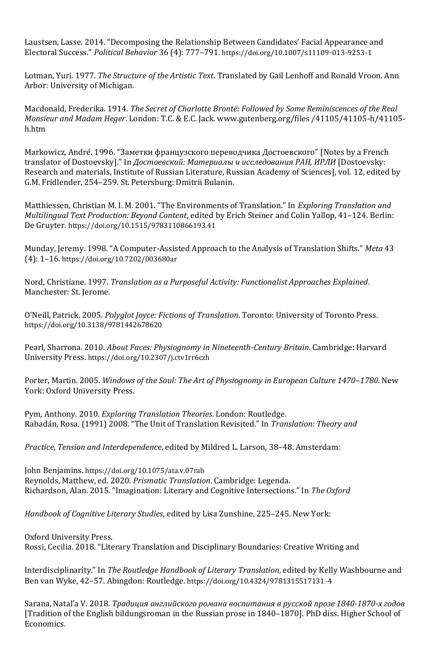Laustsen, Lasse. 2014. "Decomposing the Relationship Between Candidates' Facial Appearance and Electoral Success." *Political Behavior* 36 (4): 777–791. https://doi.org/10.1007/s11109‐013‐9253‐1

Lotman, Yuri. 1977. *The Structure of the Artistic Text*. Translated by Gail Lenhoff and Ronald Vroon. Ann Arbor: University of Michigan.

Macdonald, Frederika. 1914. *The Secret of Charlotte Brontë: Followed by Some Reminiscences of the Real Monsieur and Madam Heger*. London: T.C. & E.C. Jack. www.gutenberg.org/files /41105/41105-h/41105 h.htm

Markowicz, André. 1996. "Заметки французского переводчика Достоевского" [Notes by a French translator of Dostoevsky]." In *Достоевский: Материалы и исследования РАН, ИРЛИ* [Dostoevsky: Research and materials, Institute of Russian Literature, Russian Academy of Sciences], vol. 12, edited by G.M. Fridlender, 254–259. St. Petersburg: Dmitrii Bulanin.

Matthiessen, Christian M. I. M. 2001. "The Environments of Translation." In *Exploring Translation and Multilingual Text Production: Beyond Content*, edited by Erich Steiner and Colin Yallop, 41–124. Berlin: De Gruyter. https://doi.org/10.1515/9783110866193.41

Munday, Jeremy. 1998. "A Computer-Assisted Approach to the Analysis of Translation Shifts." *Meta* 43 (4): 1–16. https://doi.org/10.7202/003680ar

Nord, Christiane. 1997. *Translation as a Purposeful Activity: Functionalist Approaches Explained*. Manchester: St. Jerome.

O'Neill, Patrick. 2005. *Polyglot Joyce: Fictions of Translation*. Toronto: University of Toronto Press. https://doi.org/10.3138/9781442678620

Pearl, Sharrona. 2010. *About Faces: Physiognomy in Nineteenth-Century Britain*. Cambridge: Harvard University Press. https://doi.org/10.2307/j.ctv1rr6czh

Porter, Martin. 2005. *Windows of the Soul: The Art of Physiognomy in European Culture 1470–1780*. New York: Oxford University Press.

Pym, Anthony. 2010. *Exploring Translation Theories*. London: Routledge. Rabadán, Rosa. (1991) 2008. "The Unit of Translation Revisited." In *Translation: Theory and* 

*Practice, Tension and Interdependence*, edited by Mildred L. Larson, 38–48. Amsterdam:

John Benjamins. https://doi.org/10.1075/ata.v.07rab Reynolds, Matthew, ed. 2020. *Prismatic Translation*. Cambridge: Legenda. Richardson, Alan. 2015. "Imagination: Literary and Cognitive Intersections." In *The Oxford* 

*Handbook of Cognitive Literary Studies*, edited by Lisa Zunshine, 225–245. New York:

Oxford University Press. Rossi, Cecilia. 2018. "Literary Translation and Disciplinary Boundaries: Creative Writing and

Interdisciplinarity." In *The Routledge Handbook of Literary Translation*, edited by Kelly Washbourne and Ben van Wyke, 42–57. Abingdon: Routledge. https://doi.org/10.4324/9781315517131‐4

Sarana, Natal'a V. 2018. *Традиция английского романа воспитания в русской прозе 1840-1870-х годов*  [Tradition of the English bildungsroman in the Russian prose in 1840–1870]. PhD diss. Higher School of Economics.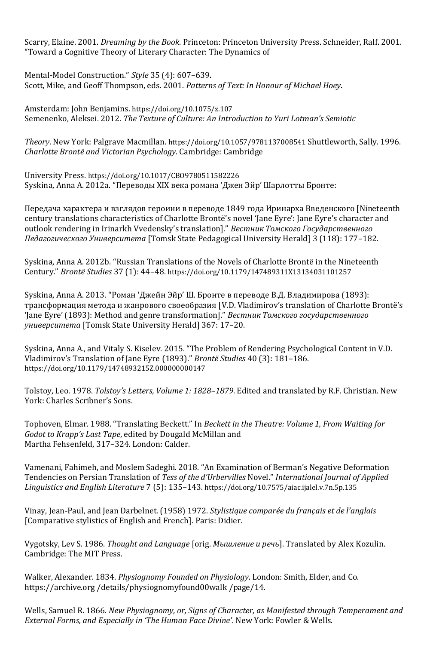Scarry, Elaine. 2001. *Dreaming by the Book*. Princeton: Princeton University Press. Schneider, Ralf. 2001. "Toward a Cognitive Theory of Literary Character: The Dynamics of

Mental-Model Construction." *Style* 35 (4): 607–639. Scott, Mike, and Geoff Thompson, eds. 2001. *Patterns of Text: In Honour of Michael Hoey*.

Amsterdam: John Benjamins. https://doi.org/10.1075/z.107 Semenenko, Aleksei. 2012. *The Texture of Culture: An Introduction to Yuri Lotman's Semiotic* 

*Theory*. New York: Palgrave Macmillan. https://doi.org/10.1057/9781137008541 Shuttleworth, Sally. 1996. *Charlotte Brontë and Victorian Psychology*. Cambridge: Cambridge

University Press. https://doi.org/10.1017/CBO9780511582226 Syskina, Anna A. 2012a. "Переводы XIX века романа 'Джен Эйр' Шарлотты Бронте:

Передача характера и взглядов героини в переводе 1849 года Иринарха Введенского [Nineteenth century translations characteristics of Charlotte Brontë's novel 'Jane Eyre': Jane Eyre's character and outlook rendering in Irinarkh Vvedensky's translation]." *Вестник Томского Государственного Педагогического Университета* [Tomsk State Pedagogical University Herald] 3 (118): 177–182.

Syskina, Anna A. 2012b. "Russian Translations of the Novels of Charlotte Brontë in the Nineteenth Century." *Brontë Studies* 37 (1): 44–48. https://doi.org/10.1179/147489311X13134031101257

Syskina, Anna A. 2013. "Роман 'Джейн Эйр' Ш. Бронте в переводе В.Д. Владимирова (1893): трансформация метода и жанрового своеобразия [V.D. Vladimirov's translation of Charlotte Brontë's 'Jane Eyre' (1893): Method and genre transformation]." *Вестник Томского государственного университета* [Tomsk State University Herald] 367: 17–20.

Syskina, Anna A., and Vitaly S. Kiselev. 2015. "The Problem of Rendering Psychological Content in V.D. Vladimirov's Translation of Jane Eyre (1893)." *Brontë Studies* 40 (3): 181–186. https://doi.org/10.1179/1474893215Z.000000000147

Tolstoy, Leo. 1978. *Tolstoy's Letters, Volume 1: 1828–1879*. Edited and translated by R.F. Christian. New York: Charles Scribner's Sons.

Tophoven, Elmar. 1988. "Translating Beckett." In *Beckett in the Theatre: Volume 1, From Waiting for Godot to Krapp's Last Tape*, edited by Dougald McMillan and Martha Fehsenfeld, 317–324. London: Calder.

Vamenani, Fahimeh, and Moslem Sadeghi. 2018. "An Examination of Berman's Negative Deformation Tendencies on Persian Translation of *Tess of the d'Urbervilles* Novel." *International Journal of Applied Linguistics and English Literature* 7 (5): 135–143. https://doi.org/10.7575/aiac.ijalel.v.7n.5p.135

Vinay, Jean-Paul, and Jean Darbelnet. (1958) 1972. *Stylistique comparée du français et de l'anglais*  [Comparative stylistics of English and French]. Paris: Didier.

Vygotsky, Lev S. 1986. *Thought and Language* [orig. *Мышление и речь*]. Translated by Alex Kozulin. Cambridge: The MIT Press.

Walker, Alexander. 1834. *Physiognomy Founded on Physiology*. London: Smith, Elder, and Co. https://archive.org /details/physiognomyfound00walk /page/14.

Wells, Samuel R. 1866. *New Physiognomy, or, Signs of Character, as Manifested through Temperament and External Forms, and Especially in 'The Human Face Divine'*. New York: Fowler & Wells.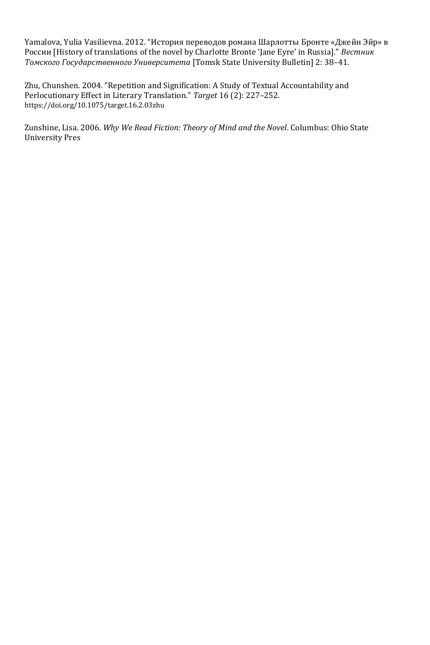Yamalova, Yulia Vasilievna. 2012. "История переводов романа Шарлотты Бронте «Джейн Эйр» в России [History of translations of the novel by Charlotte Bronte 'Jane Eyre' in Russia]." *Вестник Томского Государственного Университета* [Tomsk State University Bulletin] 2: 38–41.

Zhu, Chunshen. 2004. "Repetition and Signification: A Study of Textual Accountability and Perlocutionary Effect in Literary Translation." *Target* 16 (2): 227–252. https://doi.org/10.1075/target.16.2.03zhu

Zunshine, Lisa. 2006. *Why We Read Fiction: Theory of Mind and the Novel*. Columbus: Ohio State University Pres